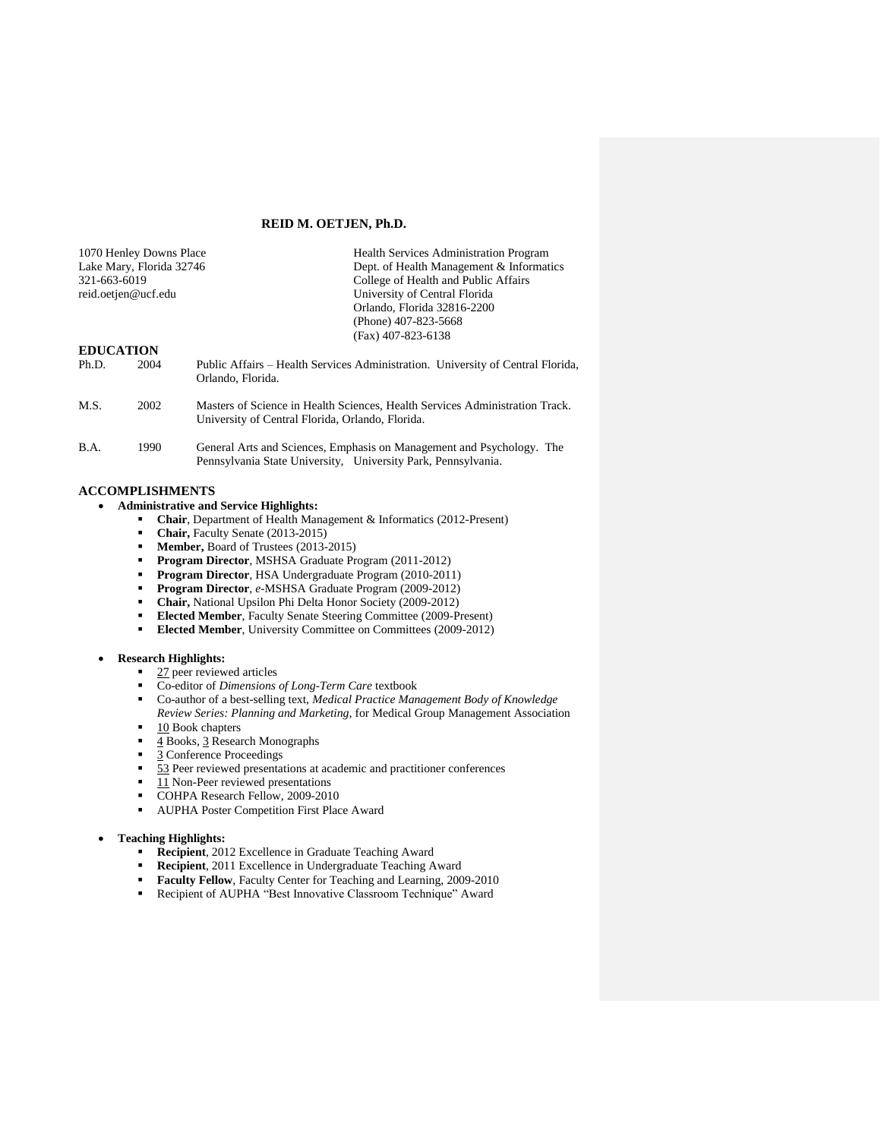## **REID M. OETJEN, Ph.D.**

|                  | 1070 Henley Downs Place  | <b>Health Services Administration Program</b>                                                                                          |  |  |
|------------------|--------------------------|----------------------------------------------------------------------------------------------------------------------------------------|--|--|
|                  | Lake Mary, Florida 32746 | Dept. of Health Management & Informatics                                                                                               |  |  |
| 321-663-6019     |                          | College of Health and Public Affairs                                                                                                   |  |  |
|                  | reid.oetjen@ucf.edu      | University of Central Florida                                                                                                          |  |  |
|                  |                          | Orlando, Florida 32816-2200                                                                                                            |  |  |
|                  |                          | (Phone) 407-823-5668                                                                                                                   |  |  |
|                  |                          | $(Fax)$ 407-823-6138                                                                                                                   |  |  |
| <b>EDUCATION</b> |                          |                                                                                                                                        |  |  |
| Ph.D.            | 2004                     | Public Affairs – Health Services Administration. University of Central Florida,<br>Orlando, Florida.                                   |  |  |
| M.S.             | 2002                     | Masters of Science in Health Sciences, Health Services Administration Track.<br>University of Central Florida, Orlando, Florida.       |  |  |
| B.A.             | 1990                     | General Arts and Sciences, Emphasis on Management and Psychology. The<br>Pennsylvania State University, University Park, Pennsylvania. |  |  |

# **ACCOMPLISHMENTS**

# **Administrative and Service Highlights:**

- **Chair**, Department of Health Management & Informatics (2012-Present)
- **Chair, Faculty Senate (2013-2015)**
- **Member,** Board of Trustees (2013-2015)
- **Program Director***,* MSHSA Graduate Program (2011-2012)
- **Program Director***,* HSA Undergraduate Program (2010-2011)
- **Program Director**, *e-MSHSA Graduate Program (2009-2012)*<br>**Chair.** National Upsilon Phi Delta Honor Society (2009-2012)
- **Chair, National Upsilon Phi Delta Honor Society (2009-2012)**<br>**Elected Member** Eaculty Senate Steering Committee (2009-P)
- **Elected Member**, Faculty Senate Steering Committee (2009-Present)
- **Elected Member**, University Committee on Committees (2009-2012)

## **Research Highlights:**

- $\overline{27}$  peer reviewed articles
- Co-editor of *Dimensions of Long-Term Care* textbook
- Co-author of a best-selling text, *Medical Practice Management Body of Knowledge*
- *Review Series: Planning and Marketing,* for Medical Group Management Association
- 10 Book chapters
- 4 Books, 3 Research Monographs
- 3 Conference Proceedings
- 53 Peer reviewed presentations at academic and practitioner conferences
- 11 Non-Peer reviewed presentations
- COHPA Research Fellow, 2009-2010
- AUPHA Poster Competition First Place Award

#### **Teaching Highlights:**

- **Recipient**, 2012 Excellence in Graduate Teaching Award
- **Recipient**, 2011 Excellence in Undergraduate Teaching Award
- **Faculty Fellow**, Faculty Center for Teaching and Learning, 2009-2010<br>Recipient of AUPHA "Best Innovative Classroom Technique" Award
- Recipient of AUPHA "Best Innovative Classroom Technique" Award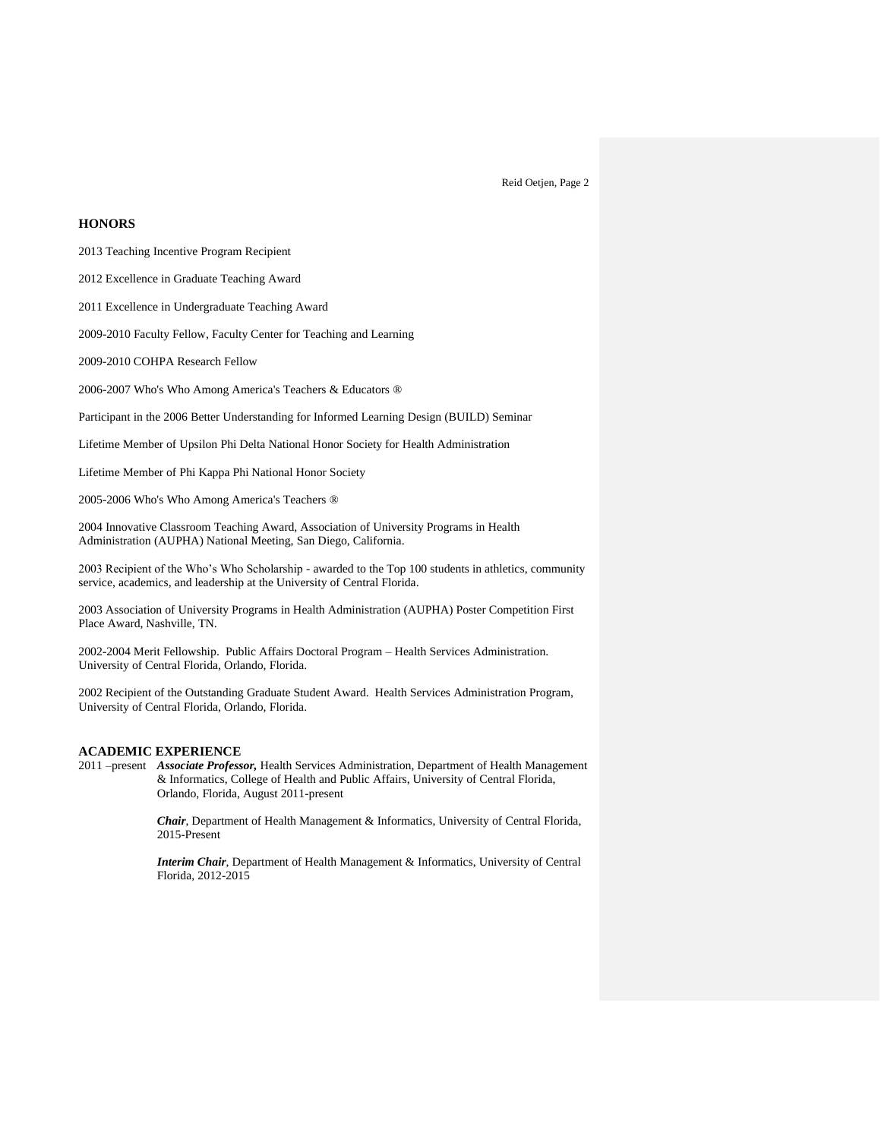# **HONORS**

2013 Teaching Incentive Program Recipient

2012 Excellence in Graduate Teaching Award

2011 Excellence in Undergraduate Teaching Award

2009-2010 Faculty Fellow, Faculty Center for Teaching and Learning

2009-2010 COHPA Research Fellow

2006-2007 Who's Who Among America's Teachers & Educators ®

Participant in the 2006 Better Understanding for Informed Learning Design (BUILD) Seminar

Lifetime Member of Upsilon Phi Delta National Honor Society for Health Administration

Lifetime Member of Phi Kappa Phi National Honor Society

2005-2006 Who's Who Among America's Teachers ®

2004 Innovative Classroom Teaching Award, Association of University Programs in Health Administration (AUPHA) National Meeting, San Diego, California.

2003 Recipient of the Who's Who Scholarship - awarded to the Top 100 students in athletics, community service, academics, and leadership at the University of Central Florida.

2003 Association of University Programs in Health Administration (AUPHA) Poster Competition First Place Award, Nashville, TN.

2002-2004 Merit Fellowship. Public Affairs Doctoral Program – Health Services Administration. University of Central Florida, Orlando, Florida.

2002 Recipient of the Outstanding Graduate Student Award. Health Services Administration Program, University of Central Florida, Orlando, Florida.

#### **ACADEMIC EXPERIENCE**

2011 –present *Associate Professor,* Health Services Administration, Department of Health Management & Informatics, College of Health and Public Affairs, University of Central Florida, Orlando, Florida, August 2011-present

> *Chair*, Department of Health Management & Informatics, University of Central Florida, 2015-Present

> *Interim Chair*, Department of Health Management & Informatics, University of Central Florida, 2012-2015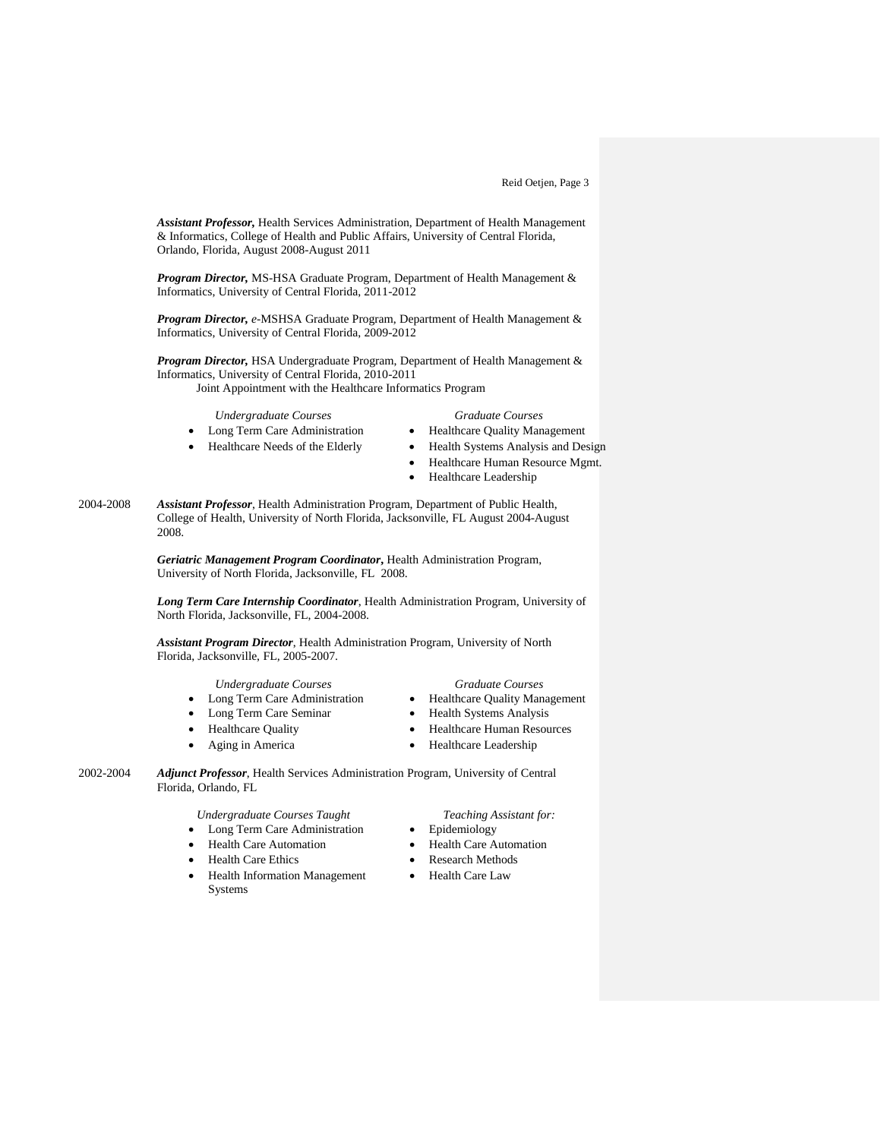*Assistant Professor,* Health Services Administration, Department of Health Management & Informatics, College of Health and Public Affairs, University of Central Florida, Orlando, Florida, August 2008-August 2011

*Program Director,* MS-HSA Graduate Program, Department of Health Management & Informatics, University of Central Florida, 2011-2012

*Program Director, e-*MSHSA Graduate Program, Department of Health Management & Informatics, University of Central Florida, 2009-2012

*Program Director,* HSA Undergraduate Program, Department of Health Management & Informatics, University of Central Florida, 2010-2011 Joint Appointment with the Healthcare Informatics Program

## *Undergraduate Courses Graduate Courses*

- Long Term Care Administration Healthcare Quality Management
- Healthcare Needs of the Elderly Health Systems Analysis and Design

- Healthcare Human Resource Mgmt.
- Healthcare Leadership
- 

2004-2008 *Assistant Professor*, Health Administration Program, Department of Public Health, College of Health, University of North Florida, Jacksonville, FL August 2004-August 2008.

> *Geriatric Management Program Coordinator***,** Health Administration Program, University of North Florida, Jacksonville, FL 2008.

*Long Term Care Internship Coordinator*, Health Administration Program, University of North Florida, Jacksonville, FL, 2004-2008.

*Assistant Program Director*, Health Administration Program, University of North Florida, Jacksonville, FL, 2005-2007.

- Long Term Care Administration
- Long Term Care Seminar Health Systems Analysis
- 
- -

- *Undergraduate Courses Graduate Courses*
	-
- Healthcare Quality **•** Healthcare Human Resources
- Aging in America Healthcare Leadership

2002-2004 *Adjunct Professor*, Health Services Administration Program, University of Central Florida, Orlando, FL

*Undergraduate Courses Taught Teaching Assistant for:*

- Long Term Care Administration Epidemiology
- 
- 
- Health Information Management Systems
- 
- 
- Health Care Automation <br>
Health Care Automation
- Health Care Ethics Research Methods
	- Health Care Law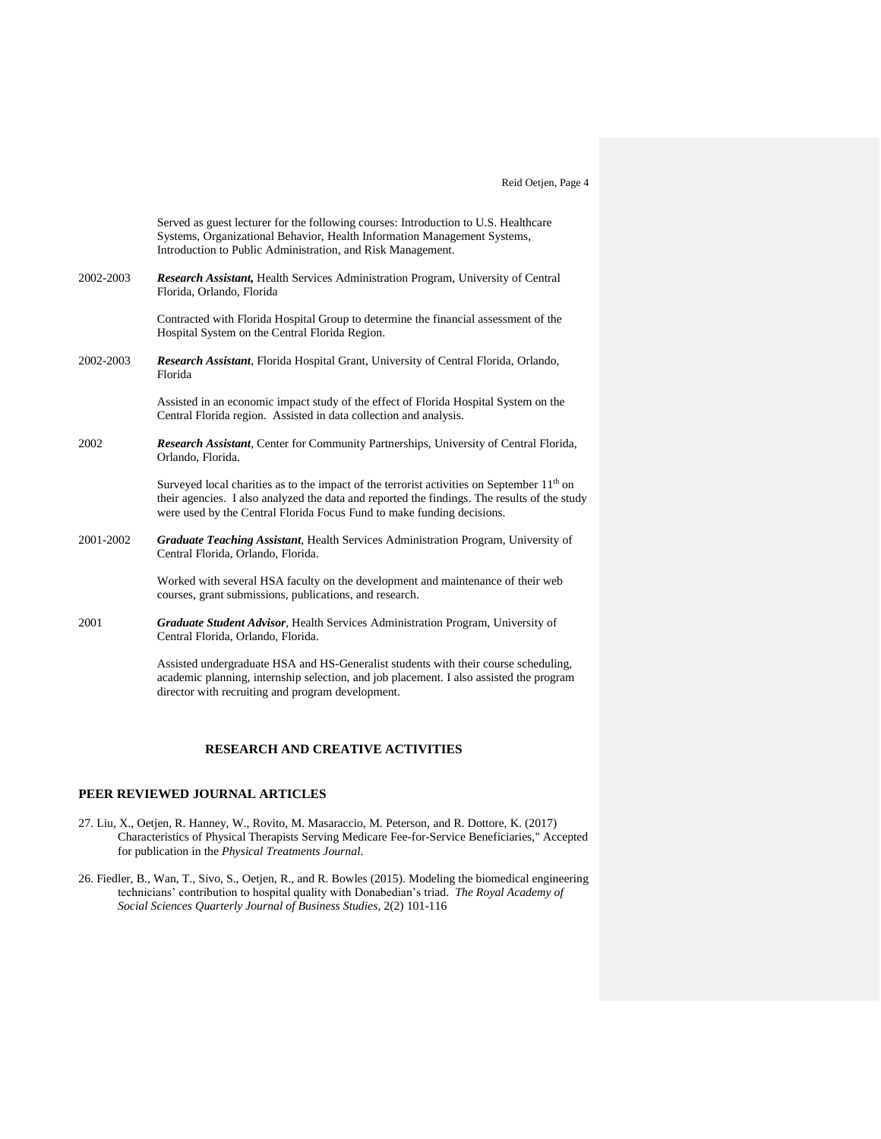|           | Served as guest lecturer for the following courses: Introduction to U.S. Healthcare<br>Systems, Organizational Behavior, Health Information Management Systems,<br>Introduction to Public Administration, and Risk Management.                                         |
|-----------|------------------------------------------------------------------------------------------------------------------------------------------------------------------------------------------------------------------------------------------------------------------------|
| 2002-2003 | <b>Research Assistant, Health Services Administration Program, University of Central</b><br>Florida, Orlando, Florida                                                                                                                                                  |
|           | Contracted with Florida Hospital Group to determine the financial assessment of the<br>Hospital System on the Central Florida Region.                                                                                                                                  |
| 2002-2003 | <b>Research Assistant</b> , Florida Hospital Grant, University of Central Florida, Orlando,<br>Florida                                                                                                                                                                 |
|           | Assisted in an economic impact study of the effect of Florida Hospital System on the<br>Central Florida region. Assisted in data collection and analysis.                                                                                                              |
| 2002      | <b>Research Assistant, Center for Community Partnerships, University of Central Florida,</b><br>Orlando, Florida.                                                                                                                                                      |
|           | Surveyed local charities as to the impact of the terrorist activities on September $11th$ on<br>their agencies. I also analyzed the data and reported the findings. The results of the study<br>were used by the Central Florida Focus Fund to make funding decisions. |
| 2001-2002 | Graduate Teaching Assistant, Health Services Administration Program, University of<br>Central Florida, Orlando, Florida.                                                                                                                                               |
|           | Worked with several HSA faculty on the development and maintenance of their web<br>courses, grant submissions, publications, and research.                                                                                                                             |
| 2001      | <b>Graduate Student Advisor, Health Services Administration Program, University of</b><br>Central Florida, Orlando, Florida.                                                                                                                                           |
|           | Assisted undergraduate HSA and HS-Generalist students with their course scheduling,<br>academic planning, internship selection, and job placement. I also assisted the program                                                                                         |

## **RESEARCH AND CREATIVE ACTIVITIES**

director with recruiting and program development.

## **PEER REVIEWED JOURNAL ARTICLES**

- 27. Liu, X., Oetjen, R. Hanney, W., Rovito, M. Masaraccio, M. Peterson, and R. Dottore, K. (2017) Characteristics of Physical Therapists Serving Medicare Fee-for-Service Beneficiaries," Accepted for publication in the *Physical Treatments Journal*.
- 26. Fiedler, B., Wan, T., Sivo, S., Oetjen, R., and R. Bowles (2015). Modeling the biomedical engineering technicians' contribution to hospital quality with Donabedian's triad. *The Royal Academy of Social Sciences Quarterly Journal of Business Studies*, 2(2) 101-116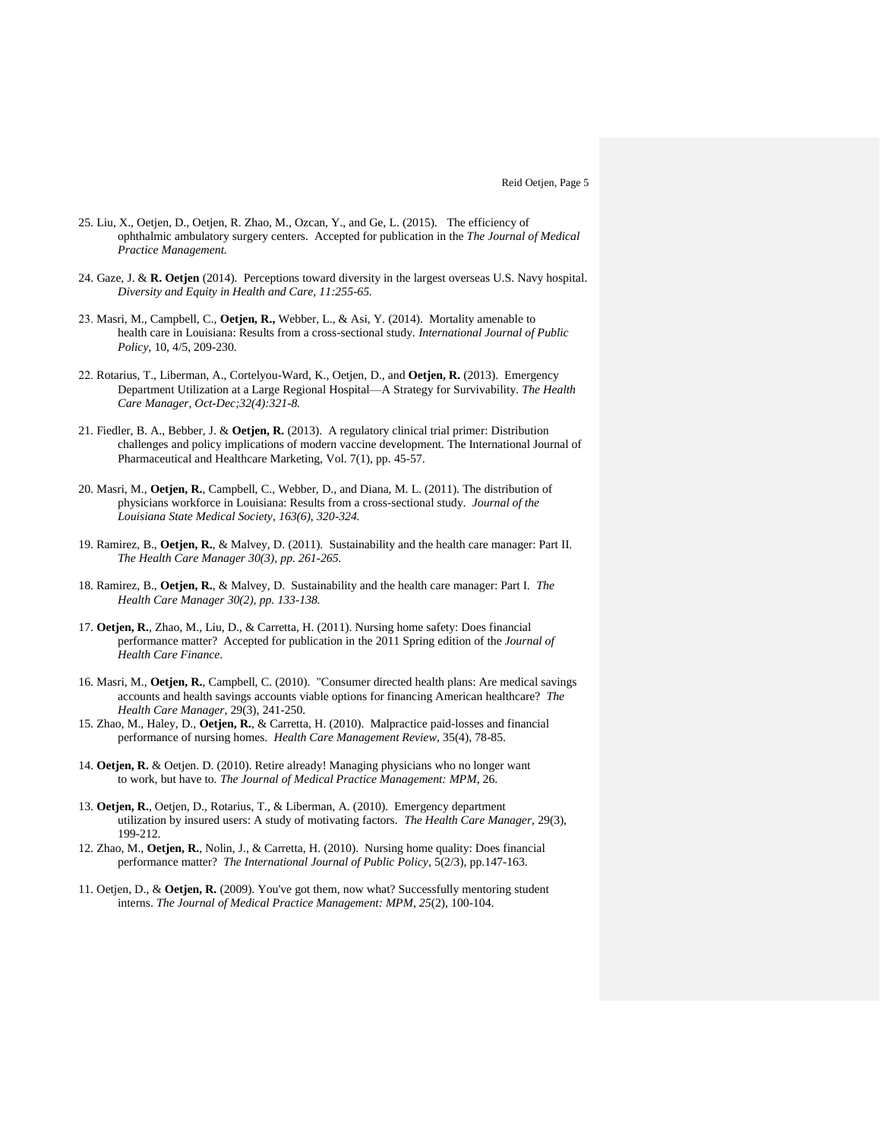- 25. Liu, X., Oetjen, D., Oetjen, R. Zhao, M., Ozcan, Y., and Ge, L. (2015). The efficiency of ophthalmic ambulatory surgery centers. Accepted for publication in the *The Journal of Medical Practice Management.*
- 24. Gaze, J. & **R. Oetjen** (2014). Perceptions toward diversity in the largest overseas U.S. Navy hospital. *Diversity and Equity in Health and Care, 11:255-65.*
- 23. Masri, M., Campbell, C., **Oetjen, R.,** Webber, L., & Asi, Y. (2014). Mortality amenable to health care in Louisiana: Results from a cross-sectional study. *International Journal of Public Policy*, 10, 4/5, 209-230.
- 22. Rotarius, T., Liberman, A., Cortelyou-Ward, K., Oetjen, D., and **Oetjen, R.** (2013). Emergency Department Utilization at a Large Regional Hospital—A Strategy for Survivability. *The Health Care Manager, Oct-Dec;32(4):321-8.*
- 21. Fiedler, B. A., Bebber, J. & **Oetjen, R.** (2013). A regulatory clinical trial primer: Distribution challenges and policy implications of modern vaccine development. The International Journal of Pharmaceutical and Healthcare Marketing, Vol. 7(1), pp. 45-57.
- 20. Masri, M., **Oetjen, R.**, Campbell, C., Webber, D., and Diana, M. L. (2011). The distribution of physicians workforce in Louisiana: Results from a cross-sectional study. *Journal of the Louisiana State Medical Society, 163(6), 320-324.*
- 19. Ramirez, B., **Oetjen, R.**, & Malvey, D. (2011). Sustainability and the health care manager: Part II. *The Health Care Manager 30(3), pp. 261-265.*
- 18. Ramirez, B., **Oetjen, R.**, & Malvey, D. Sustainability and the health care manager: Part I. *The Health Care Manager 30(2), pp. 133-138.*
- 17. **Oetjen, R.**, Zhao, M., Liu, D., & Carretta, H. (2011). Nursing home safety: Does financial performance matter? Accepted for publication in the 2011 Spring edition of the *Journal of Health Care Finance*.
- 16. Masri, M., **Oetjen, R.**, Campbell, C. (2010). "Consumer directed health plans: Are medical savings accounts and health savings accounts viable options for financing American healthcare? *The Health Care Manager,* 29(3), 241-250.
- 15. Zhao, M., Haley, D., **Oetjen, R.**, & Carretta, H. (2010). Malpractice paid-losses and financial performance of nursing homes. *Health Care Management Review*, 35(4), 78-85.
- 14. **Oetjen, R.** & Oetjen. D. (2010). Retire already! Managing physicians who no longer want to work, but have to. *The Journal of Medical Practice Management: MPM*, 26.
- 13. **Oetjen, R.**, Oetjen, D., Rotarius, T., & Liberman, A. (2010). Emergency department utilization by insured users: A study of motivating factors. *The Health Care Manager,* 29(3), 199-212.
- 12. Zhao, M., **Oetjen, R.**, Nolin, J., & Carretta, H. (2010). Nursing home quality: Does financial performance matter? *The International Journal of Public Policy*, 5(2/3), pp.147-163.
- 11. Oetjen, D., & **Oetjen, R.** (2009). You've got them, now what? Successfully mentoring student interns. *The Journal of Medical Practice Management: MPM*, *25*(2), 100-104.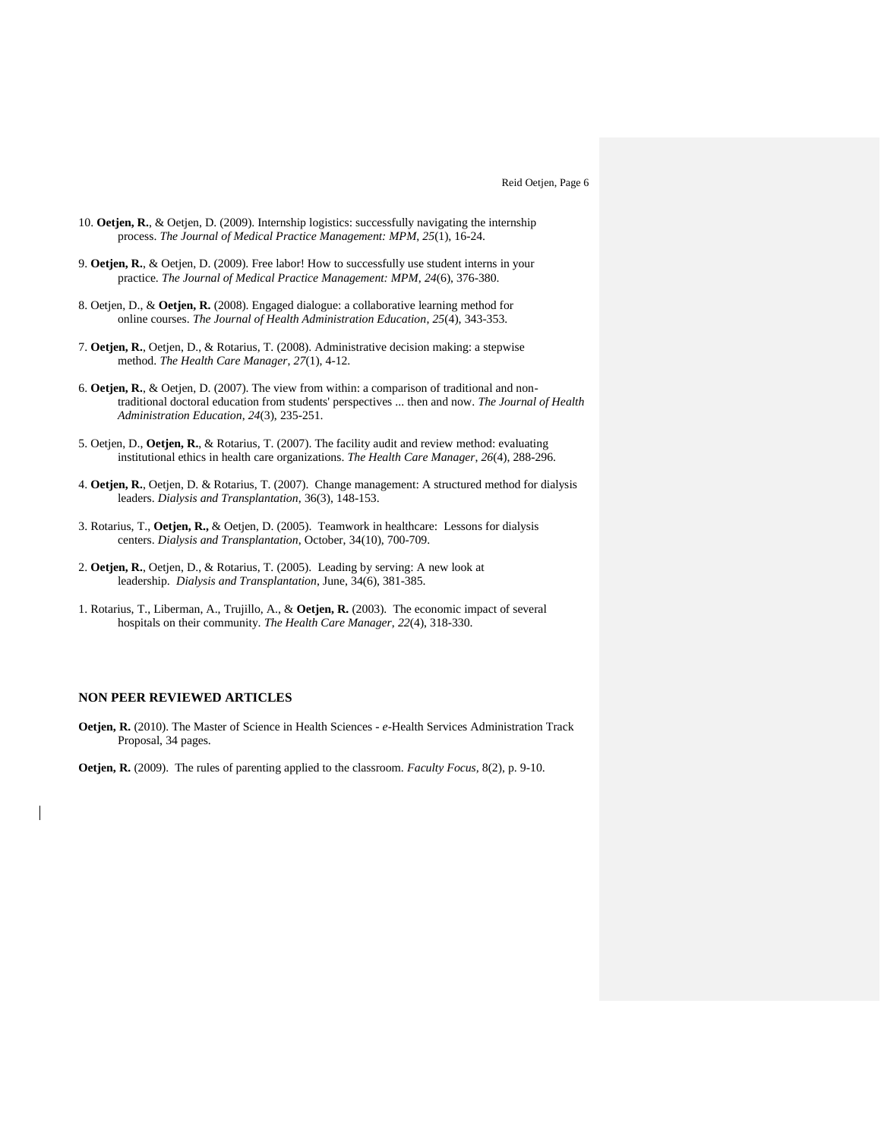- 10. **Oetjen, R.**, & Oetjen, D. (2009). Internship logistics: successfully navigating the internship process. *The Journal of Medical Practice Management: MPM*, *25*(1), 16-24.
- 9. **Oetjen, R.**, & Oetjen, D. (2009). Free labor! How to successfully use student interns in your practice. *The Journal of Medical Practice Management: MPM*, *24*(6), 376-380.
- 8. Oetjen, D., & **Oetjen, R.** (2008). Engaged dialogue: a collaborative learning method for online courses. *The Journal of Health Administration Education*, *25*(4), 343-353.
- 7. **Oetjen, R.**, Oetjen, D., & Rotarius, T. (2008). Administrative decision making: a stepwise method. *The Health Care Manager*, *27*(1), 4-12.
- 6. **Oetjen, R.**, & Oetjen, D. (2007). The view from within: a comparison of traditional and nontraditional doctoral education from students' perspectives ... then and now. *The Journal of Health Administration Education*, *24*(3), 235-251.
- 5. Oetjen, D., **Oetjen, R.**, & Rotarius, T. (2007). The facility audit and review method: evaluating institutional ethics in health care organizations. *The Health Care Manager*, *26*(4), 288-296.
- 4. **Oetjen, R.**, Oetjen, D. & Rotarius, T. (2007). Change management: A structured method for dialysis leaders. *Dialysis and Transplantation*, 36(3), 148-153.
- 3. Rotarius, T., **Oetjen, R.,** & Oetjen, D. (2005). Teamwork in healthcare: Lessons for dialysis centers. *Dialysis and Transplantation*, October, 34(10), 700-709.
- 2. **Oetjen, R.**, Oetjen, D., & Rotarius, T. (2005). Leading by serving: A new look at leadership. *Dialysis and Transplantation*, June, 34(6), 381-385.
- 1. Rotarius, T., Liberman, A., Trujillo, A., & **Oetjen, R.** (2003). The economic impact of several hospitals on their community. *The Health Care Manager*, *22*(4), 318-330.

## **NON PEER REVIEWED ARTICLES**

**Oetjen, R.** (2010). The Master of Science in Health Sciences - *e*-Health Services Administration Track Proposal, 34 pages.

**Oetjen, R.** (2009). The rules of parenting applied to the classroom. *Faculty Focus,* 8(2), p. 9-10.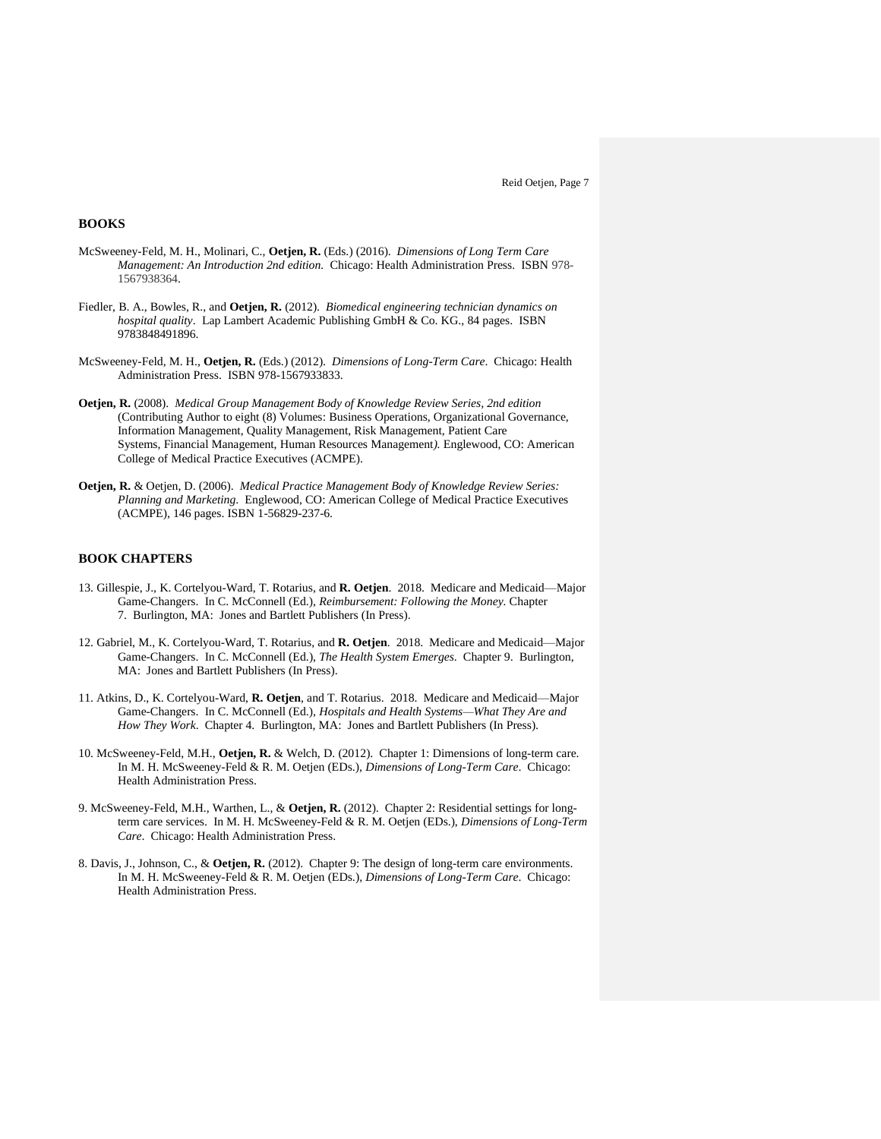## **BOOKS**

- McSweeney-Feld, M. H., Molinari, C., **Oetjen, R.** (Eds.) (2016). *Dimensions of Long Term Care Management: An Introduction 2nd edition.* Chicago: Health Administration Press. ISBN 978- 1567938364.
- Fiedler, B. A., Bowles, R., and **Oetjen, R.** (2012). *Biomedical engineering technician dynamics on hospital quality*. Lap Lambert Academic Publishing GmbH & Co. KG., 84 pages. ISBN 9783848491896.
- McSweeney-Feld, M. H., **Oetjen, R.** (Eds.) (2012). *Dimensions of Long-Term Care*. Chicago: Health Administration Press. ISBN 978-1567933833.
- **Oetjen, R.** (2008). *Medical Group Management Body of Knowledge Review Series, 2nd edition* (Contributing Author to eight (8) Volumes: Business Operations*,* Organizational Governance, Information Management, Quality Management, Risk Management, Patient Care Systems, Financial Management, Human Resources Management*).* Englewood, CO: American College of Medical Practice Executives (ACMPE).
- **Oetjen, R.** & Oetjen, D. (2006). *Medical Practice Management Body of Knowledge Review Series: Planning and Marketing*. Englewood, CO: American College of Medical Practice Executives (ACMPE), 146 pages. ISBN 1-56829-237-6.

## **BOOK CHAPTERS**

- 13. Gillespie, J., K. Cortelyou-Ward, T. Rotarius, and **R. Oetjen**. 2018. Medicare and Medicaid—Major Game-Changers. In C. McConnell (Ed.), *Reimbursement: Following the Money.* Chapter 7. Burlington, MA: Jones and Bartlett Publishers (In Press).
- 12. Gabriel, M., K. Cortelyou-Ward, T. Rotarius, and **R. Oetjen**. 2018. Medicare and Medicaid—Major Game-Changers. In C. McConnell (Ed.), *The Health System Emerges*. Chapter 9. Burlington, MA: Jones and Bartlett Publishers (In Press).
- 11. Atkins, D., K. Cortelyou-Ward, **R. Oetjen**, and T. Rotarius. 2018. Medicare and Medicaid—Major Game-Changers. In C. McConnell (Ed.), *Hospitals and Health Systems—What They Are and How They Work*. Chapter 4. Burlington, MA: Jones and Bartlett Publishers (In Press).
- 10. McSweeney-Feld, M.H., **Oetjen, R.** & Welch, D. (2012). Chapter 1: Dimensions of long-term care. In M. H. McSweeney-Feld & R. M. Oetjen (EDs.), *Dimensions of Long-Term Care*. Chicago: Health Administration Press.
- 9. McSweeney-Feld, M.H., Warthen, L., & **Oetjen, R.** (2012). Chapter 2: Residential settings for longterm care services. In M. H. McSweeney-Feld & R. M. Oetjen (EDs.), *Dimensions of Long-Term Care*. Chicago: Health Administration Press.
- 8. Davis, J., Johnson, C., & **Oetjen, R.** (2012). Chapter 9: The design of long-term care environments. In M. H. McSweeney-Feld & R. M. Oetjen (EDs.), *Dimensions of Long-Term Care*. Chicago: Health Administration Press.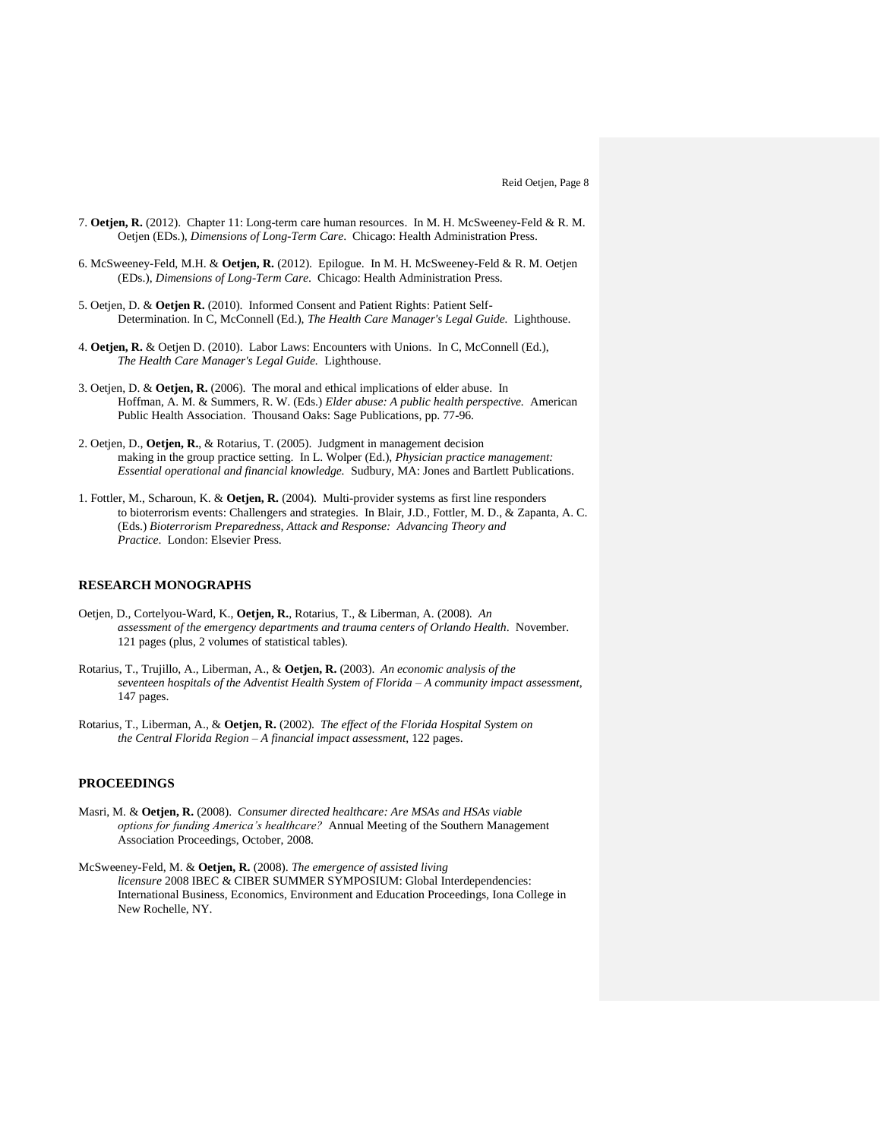- 7. **Oetjen, R.** (2012). Chapter 11: Long-term care human resources. In M. H. McSweeney-Feld & R. M. Oetjen (EDs.), *Dimensions of Long-Term Care*. Chicago: Health Administration Press.
- 6. McSweeney-Feld, M.H. & **Oetjen, R.** (2012). Epilogue. In M. H. McSweeney-Feld & R. M. Oetjen (EDs.), *Dimensions of Long-Term Care*. Chicago: Health Administration Press.
- 5. Oetjen, D. & **Oetjen R.** (2010). Informed Consent and Patient Rights: Patient Self-Determination. In C, McConnell (Ed.), *The Health Care Manager's Legal Guide.* Lighthouse.
- 4. **Oetjen, R.** & Oetjen D. (2010). Labor Laws: Encounters with Unions. In C, McConnell (Ed.), *The Health Care Manager's Legal Guide.* Lighthouse.
- 3. Oetjen, D. & **Oetjen, R.** (2006). The moral and ethical implications of elder abuse. In Hoffman, A. M. & Summers, R. W. (Eds.) *Elder abuse: A public health perspective.* American Public Health Association. Thousand Oaks: Sage Publications, pp. 77-96.
- 2. Oetjen, D., **Oetjen, R.**, & Rotarius, T. (2005). Judgment in management decision making in the group practice setting. In L. Wolper (Ed.), *Physician practice management: Essential operational and financial knowledge.* Sudbury, MA: Jones and Bartlett Publications.
- 1. Fottler, M., Scharoun, K. & **Oetjen, R.** (2004). Multi-provider systems as first line responders to bioterrorism events: Challengers and strategies. In Blair, J.D., Fottler, M. D., & Zapanta, A. C. (Eds.) *Bioterrorism Preparedness, Attack and Response: Advancing Theory and Practice*. London: Elsevier Press.

## **RESEARCH MONOGRAPHS**

- Oetjen, D., Cortelyou-Ward, K., **Oetjen, R.**, Rotarius, T., & Liberman, A. (2008). *An assessment of the emergency departments and trauma centers of Orlando Health*. November. 121 pages (plus, 2 volumes of statistical tables).
- Rotarius, T., Trujillo, A., Liberman, A., & **Oetjen, R.** (2003). *An economic analysis of the seventeen hospitals of the Adventist Health System of Florida – A community impact assessment*, 147 pages.
- Rotarius, T., Liberman, A., & **Oetjen, R.** (2002). *The effect of the Florida Hospital System on the Central Florida Region – A financial impact assessment*, 122 pages.

# **PROCEEDINGS**

- Masri, M. & **Oetjen, R.** (2008). *Consumer directed healthcare: Are MSAs and HSAs viable options for funding America's healthcare?* Annual Meeting of the Southern Management Association Proceedings, October, 2008.
- McSweeney-Feld, M. & **Oetjen, R.** (2008). *The emergence of assisted living licensure* 2008 IBEC & CIBER SUMMER SYMPOSIUM: Global Interdependencies: International Business, Economics, Environment and Education Proceedings, Iona College in New Rochelle, NY.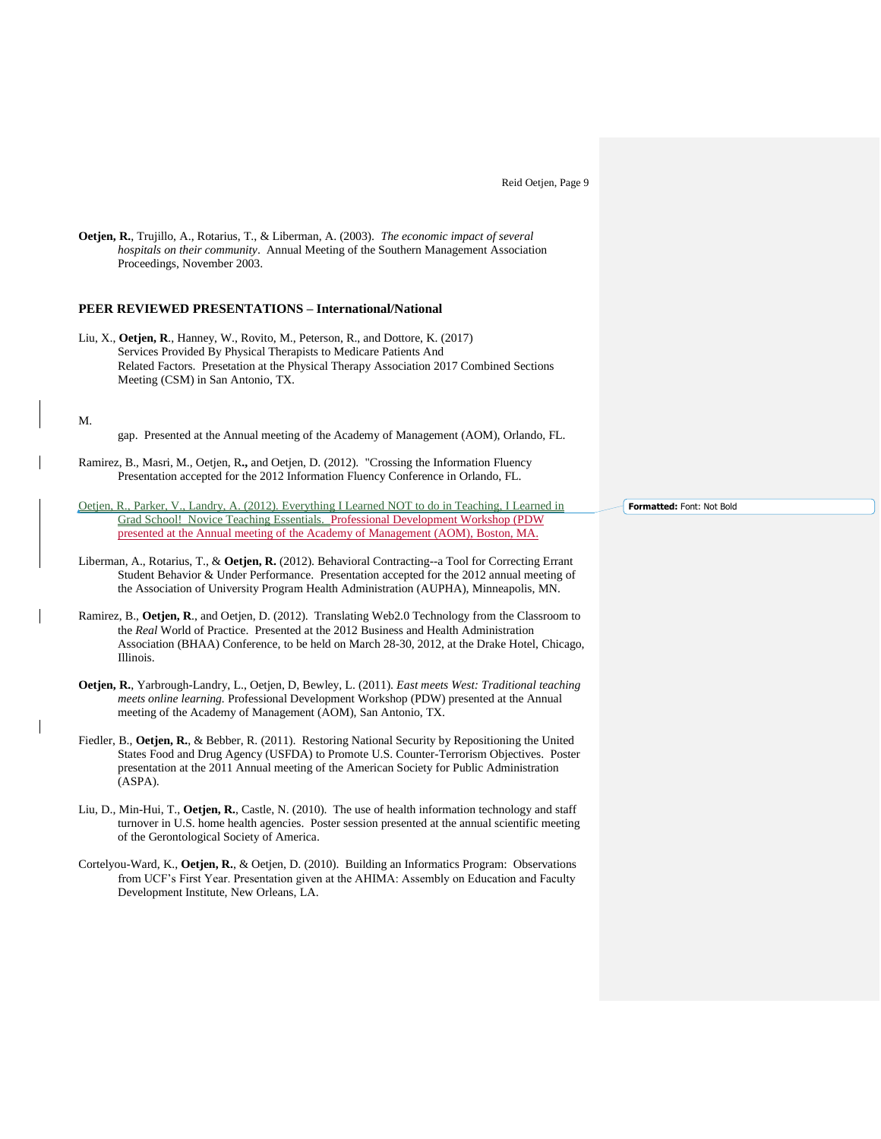| <b>Oetjen, R.,</b> Trujillo, A., Rotarius, T., & Liberman, A. (2003). <i>The economic impact of several</i><br><i>hospitals on their community.</i> Annual Meeting of the Southern Management Association<br>Proceedings, November 2003.                                               |                     |
|----------------------------------------------------------------------------------------------------------------------------------------------------------------------------------------------------------------------------------------------------------------------------------------|---------------------|
| <b>PEER REVIEWED PRESENTATIONS – International/National</b>                                                                                                                                                                                                                            |                     |
| Liu, X., Oetjen, R., Hanney, W., Rovito, M., Peterson, R., and Dottore, K. (2017)<br>Services Provided By Physical Therapists to Medicare Patients And<br>Related Factors. Presetation at the Physical Therapy Association 2017 Combined Sections<br>Meeting (CSM) in San Antonio, TX. |                     |
| M.<br>gap. Presented at the Annual meeting of the Academy of Management (AOM), Orlando, FL.                                                                                                                                                                                            |                     |
| Ramirez, B., Masri, M., Oetjen, R., and Oetjen, D. (2012). "Crossing the Information Fluency<br>Presentation accepted for the 2012 Information Fluency Conference in Orlando, FL.                                                                                                      |                     |
| Oetjen, R., Parker, V., Landry, A. (2012). Everything I Learned NOT to do in Teaching, I Learned in<br>Grad School! Novice Teaching Essentials. Professional Development Workshop (PDW)<br>presented at the Annual meeting of the Academy of Management (AOM), Boston, MA.             | Formatted: Font: No |
| Liberman, A., Rotarius, T., & Oetjen, R. (2012). Behavioral Contracting--a Tool for Correcting Errant<br>Student Behavior & Under Performance. Presentation accepted for the 2012 annual meeting of                                                                                    |                     |

Ramirez, B., **Oetjen, R**., and Oetjen, D. (2012). Translating Web2.0 Technology from the Classroom to the *Real* World of Practice. Presented at the 2012 Business and Health Administration Association (BHAA) Conference, to be held on March 28-30, 2012, at the Drake Hotel, Chicago, Illinois.

the Association of University Program Health Administration (AUPHA), Minneapolis, MN.

- **Oetjen, R.**, Yarbrough-Landry, L., Oetjen, D, Bewley, L. (2011). *East meets West: Traditional teaching meets online learning.* Professional Development Workshop (PDW) presented at the Annual meeting of the Academy of Management (AOM), San Antonio, TX.
- Fiedler, B., **Oetjen, R.**, & Bebber, R. (2011). Restoring National Security by Repositioning the United States Food and Drug Agency (USFDA) to Promote U.S. Counter-Terrorism Objectives. Poster presentation at the 2011 Annual meeting of the American Society for Public Administration (ASPA).
- Liu, D., Min-Hui, T., **Oetjen, R.**, Castle, N. (2010). The use of health information technology and staff turnover in U.S. home health agencies. Poster session presented at the annual scientific meeting of the Gerontological Society of America.
- Cortelyou-Ward, K., **Oetjen, R.**, & Oetjen, D. (2010). Building an Informatics Program: Observations from UCF's First Year. Presentation given at the AHIMA: Assembly on Education and Faculty Development Institute, New Orleans, LA.

**Fold**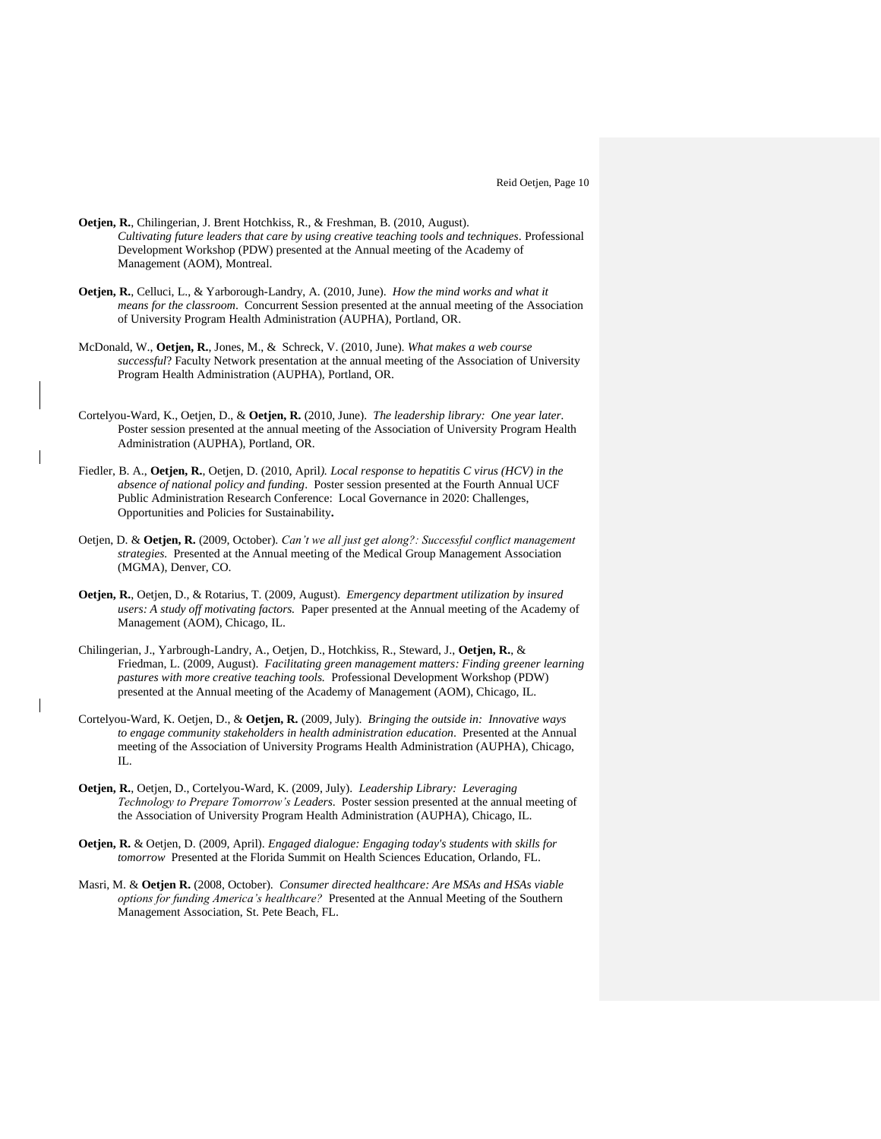- **Oetjen, R.**, Chilingerian, J. Brent Hotchkiss, R., & Freshman, B. (2010, August). *Cultivating future leaders that care by using creative teaching tools and techniques*. Professional Development Workshop (PDW) presented at the Annual meeting of the Academy of Management (AOM), Montreal.
- **Oetjen, R.**, Celluci, L., & Yarborough-Landry, A. (2010, June). *How the mind works and what it means for the classroom*. Concurrent Session presented at the annual meeting of the Association of University Program Health Administration (AUPHA), Portland, OR.
- McDonald, W., **Oetjen, R.**, Jones, M., & Schreck, V. (2010, June). *What makes a web course successful*? Faculty Network presentation at the annual meeting of the Association of University Program Health Administration (AUPHA), Portland, OR.
- Cortelyou-Ward, K., Oetjen, D., & **Oetjen, R.** (2010, June). *The leadership library: One year later.*  Poster session presented at the annual meeting of the Association of University Program Health Administration (AUPHA), Portland, OR.
- Fiedler, B. A., **Oetjen, R.**, Oetjen, D. (2010, April*). Local response to hepatitis C virus (HCV) in the absence of national policy and funding*. Poster session presented at the Fourth Annual UCF Public Administration Research Conference: Local Governance in 2020: Challenges, Opportunities and Policies for Sustainability**.**
- Oetjen, D. & **Oetjen, R.** (2009, October). *Can't we all just get along?: Successful conflict management strategies.* Presented at the Annual meeting of the Medical Group Management Association (MGMA), Denver, CO.
- **Oetjen, R.**, Oetjen, D., & Rotarius, T. (2009, August). *Emergency department utilization by insured users: A study off motivating factors.* Paper presented at the Annual meeting of the Academy of Management (AOM), Chicago, IL.
- Chilingerian, J., Yarbrough-Landry, A., Oetjen, D., Hotchkiss, R., Steward, J., **Oetjen, R.**, & Friedman, L. (2009, August). *Facilitating green management matters: Finding greener learning pastures with more creative teaching tools.* Professional Development Workshop (PDW) presented at the Annual meeting of the Academy of Management (AOM), Chicago, IL.
- Cortelyou-Ward, K. Oetjen, D., & **Oetjen, R.** (2009, July). *Bringing the outside in: Innovative ways to engage community stakeholders in health administration education*. Presented at the Annual meeting of the Association of University Programs Health Administration (AUPHA), Chicago,  $\Pi$ .
- **Oetjen, R.**, Oetjen, D., Cortelyou-Ward, K. (2009, July). *Leadership Library: Leveraging Technology to Prepare Tomorrow's Leaders*. Poster session presented at the annual meeting of the Association of University Program Health Administration (AUPHA), Chicago, IL.
- **Oetjen, R.** & Oetjen, D. (2009, April). *Engaged dialogue: Engaging today's students with skills for tomorrow* Presented at the Florida Summit on Health Sciences Education, Orlando, FL.
- Masri, M. & **Oetjen R.** (2008, October). *Consumer directed healthcare: Are MSAs and HSAs viable options for funding America's healthcare?* Presented at the Annual Meeting of the Southern Management Association, St. Pete Beach, FL.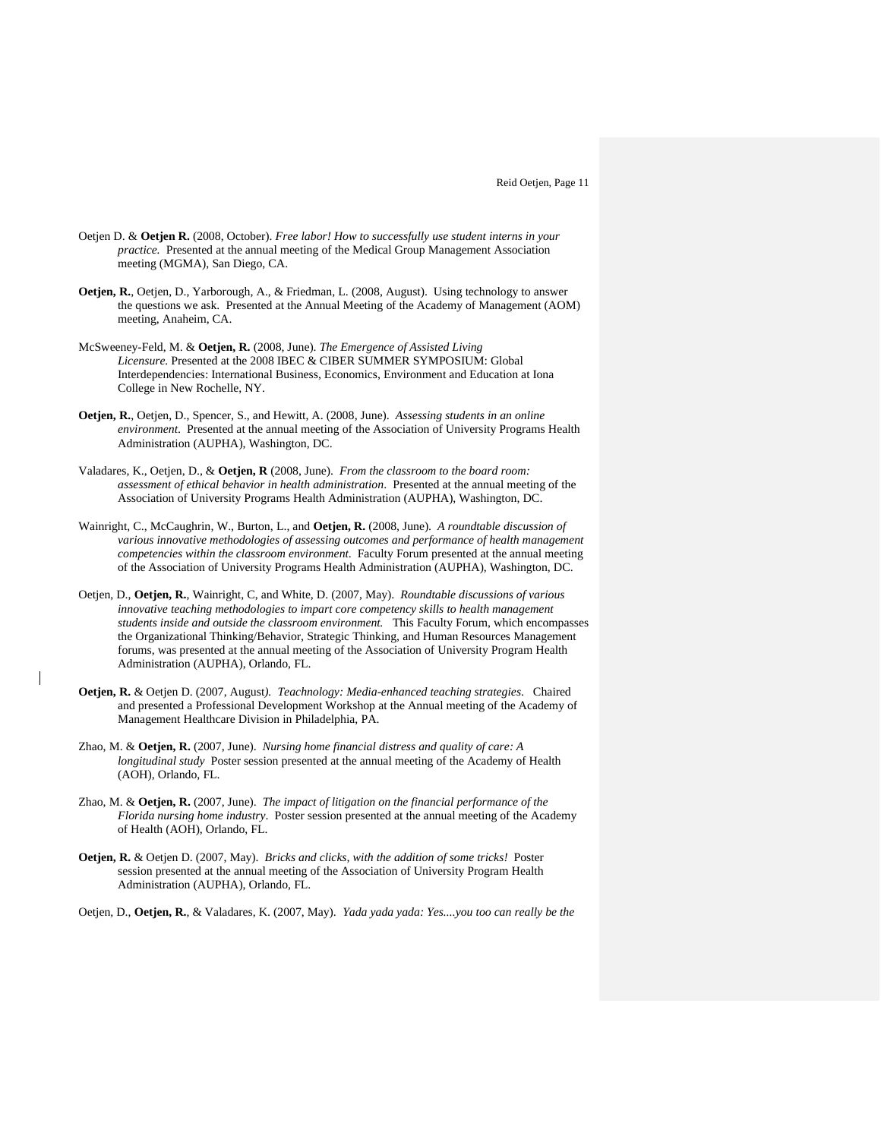- Oetjen D. & **Oetjen R.** (2008, October). *Free labor! How to successfully use student interns in your practice.* Presented at the annual meeting of the Medical Group Management Association meeting (MGMA), San Diego, CA.
- **Oetjen, R.**, Oetjen, D., Yarborough, A., & Friedman, L. (2008, August). Using technology to answer the questions we ask. Presented at the Annual Meeting of the Academy of Management (AOM) meeting, Anaheim, CA.
- McSweeney-Feld, M. & **Oetjen, R.** (2008, June). *The Emergence of Assisted Living Licensure.* Presented at the 2008 IBEC & CIBER SUMMER SYMPOSIUM: Global Interdependencies: International Business, Economics, Environment and Education at Iona College in New Rochelle, NY.
- **Oetjen, R.**, Oetjen, D., Spencer, S., and Hewitt, A. (2008, June). *Assessing students in an online environment*. Presented at the annual meeting of the Association of University Programs Health Administration (AUPHA), Washington, DC.
- Valadares, K., Oetjen, D., & **Oetjen, R** (2008, June). *From the classroom to the board room: assessment of ethical behavior in health administration*. Presented at the annual meeting of the Association of University Programs Health Administration (AUPHA), Washington, DC.
- Wainright, C., McCaughrin, W., Burton, L., and **Oetjen, R.** (2008, June). *A roundtable discussion of various innovative methodologies of assessing outcomes and performance of health management competencies within the classroom environment*. Faculty Forum presented at the annual meeting of the Association of University Programs Health Administration (AUPHA), Washington, DC.
- Oetjen, D., **Oetjen, R.**, Wainright, C, and White, D. (2007, May). *Roundtable discussions of various innovative teaching methodologies to impart core competency skills to health management students inside and outside the classroom environment.* This Faculty Forum, which encompasses the Organizational Thinking/Behavior, Strategic Thinking, and Human Resources Management forums, was presented at the annual meeting of the Association of University Program Health Administration (AUPHA), Orlando, FL.
- **Oetjen, R.** & Oetjen D. (2007, August*). Teachnology: Media-enhanced teaching strategies*. Chaired and presented a Professional Development Workshop at the Annual meeting of the Academy of Management Healthcare Division in Philadelphia, PA.
- Zhao, M. & **Oetjen, R.** (2007, June). *Nursing home financial distress and quality of care: A longitudinal study* Poster session presented at the annual meeting of the Academy of Health (AOH), Orlando, FL.
- Zhao, M. & **Oetjen, R.** (2007, June). *The impact of litigation on the financial performance of the Florida nursing home industry*. Poster session presented at the annual meeting of the Academy of Health (AOH), Orlando, FL.
- **Oetjen, R.** & Oetjen D. (2007, May). *Bricks and clicks, with the addition of some tricks!* Poster session presented at the annual meeting of the Association of University Program Health Administration (AUPHA), Orlando, FL.
- Oetjen, D., **Oetjen, R.**, & Valadares, K. (2007, May). *Yada yada yada: Yes....you too can really be the*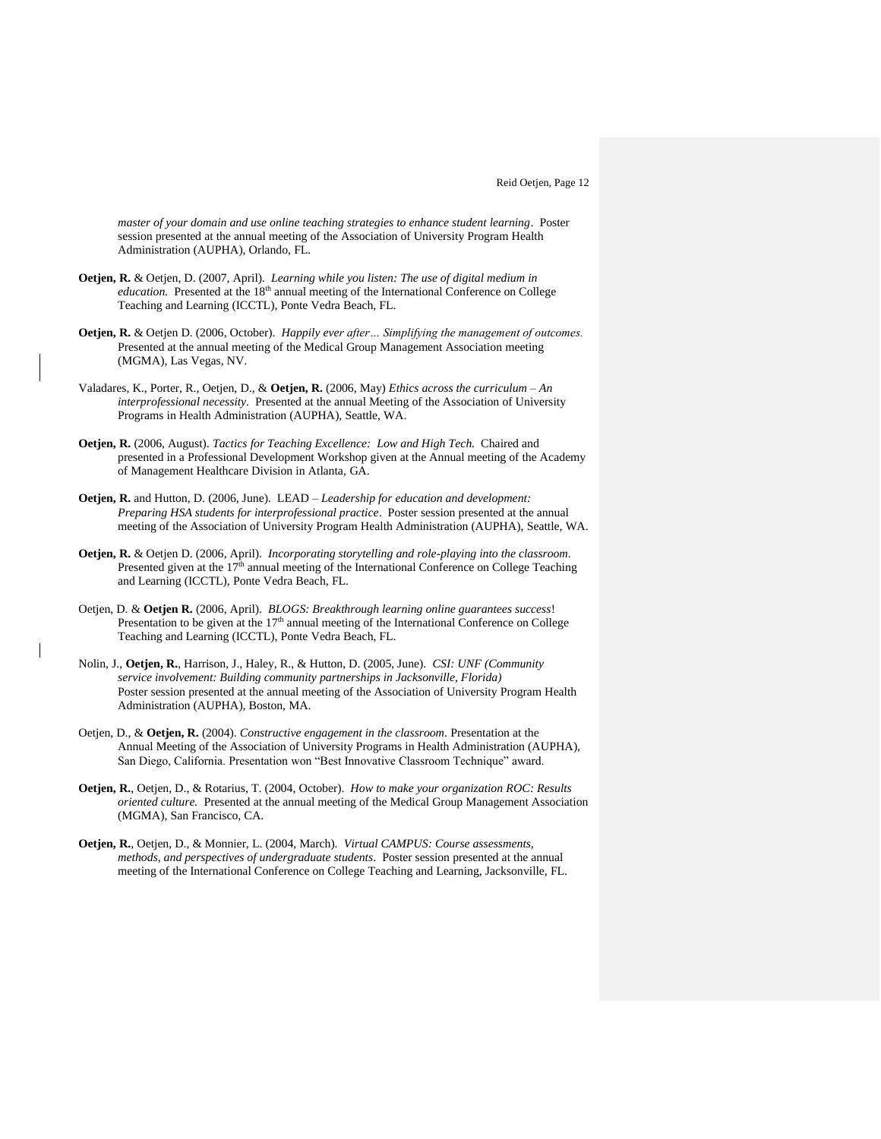*master of your domain and use online teaching strategies to enhance student learning*. Poster session presented at the annual meeting of the Association of University Program Health Administration (AUPHA), Orlando, FL.

- **Oetjen, R.** & Oetjen, D. (2007, April). *Learning while you listen: The use of digital medium in*  education. Presented at the 18<sup>th</sup> annual meeting of the International Conference on College Teaching and Learning (ICCTL), Ponte Vedra Beach, FL.
- **Oetjen, R.** & Oetjen D. (2006, October). *Happily ever after… Simplifying the management of outcomes.* Presented at the annual meeting of the Medical Group Management Association meeting (MGMA), Las Vegas, NV.
- Valadares, K., Porter, R., Oetjen, D., & **Oetjen, R.** (2006, May) *Ethics across the curriculum – An interprofessional necessity*. Presented at the annual Meeting of the Association of University Programs in Health Administration (AUPHA), Seattle, WA.
- **Oetjen, R.** (2006, August). *Tactics for Teaching Excellence: Low and High Tech.* Chaired and presented in a Professional Development Workshop given at the Annual meeting of the Academy of Management Healthcare Division in Atlanta, GA.
- **Oetjen, R.** and Hutton, D. (2006, June). LEAD *Leadership for education and development: Preparing HSA students for interprofessional practice*. Poster session presented at the annual meeting of the Association of University Program Health Administration (AUPHA), Seattle, WA.
- **Oetjen, R.** & Oetjen D. (2006, April). *Incorporating storytelling and role-playing into the classroom*. Presented given at the  $17<sup>th</sup>$  annual meeting of the International Conference on College Teaching and Learning (ICCTL), Ponte Vedra Beach, FL.
- Oetjen, D. & **Oetjen R.** (2006, April). *BLOGS: Breakthrough learning online guarantees success*! Presentation to be given at the  $17<sup>th</sup>$  annual meeting of the International Conference on College Teaching and Learning (ICCTL), Ponte Vedra Beach, FL.
- Nolin, J., **Oetjen, R.**, Harrison, J., Haley, R., & Hutton, D. (2005, June). *CSI: UNF (Community service involvement: Building community partnerships in Jacksonville, Florida)* Poster session presented at the annual meeting of the Association of University Program Health Administration (AUPHA), Boston, MA.
- Oetjen, D., & **Oetjen, R.** (2004). *Constructive engagement in the classroom*. Presentation at the Annual Meeting of the Association of University Programs in Health Administration (AUPHA), San Diego, California. Presentation won "Best Innovative Classroom Technique" award.
- **Oetjen, R.**, Oetjen, D., & Rotarius, T. (2004, October). *How to make your organization ROC: Results oriented culture.* Presented at the annual meeting of the Medical Group Management Association (MGMA), San Francisco, CA.
- **Oetjen, R.**, Oetjen, D., & Monnier, L. (2004, March). *Virtual CAMPUS: Course assessments, methods, and perspectives of undergraduate students*. Poster session presented at the annual meeting of the International Conference on College Teaching and Learning, Jacksonville, FL.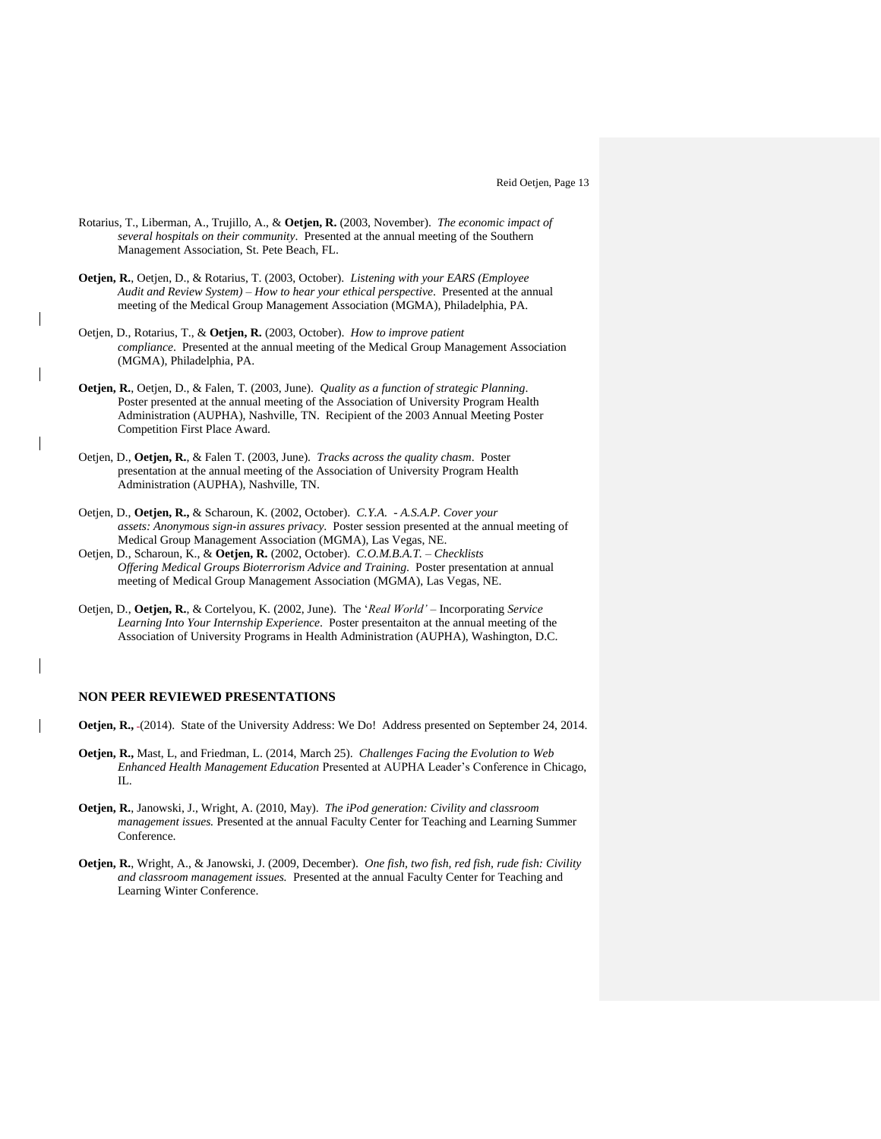- Rotarius, T., Liberman, A., Trujillo, A., & **Oetjen, R.** (2003, November). *The economic impact of several hospitals on their community*. Presented at the annual meeting of the Southern Management Association, St. Pete Beach, FL.
- **Oetjen, R.**, Oetjen, D., & Rotarius, T. (2003, October). *Listening with your EARS (Employee Audit and Review System) – How to hear your ethical perspective*. Presented at the annual meeting of the Medical Group Management Association (MGMA), Philadelphia, PA.
- Oetjen, D., Rotarius, T., & **Oetjen, R.** (2003, October). *How to improve patient compliance*. Presented at the annual meeting of the Medical Group Management Association (MGMA), Philadelphia, PA.
- **Oetjen, R.**, Oetjen, D., & Falen, T. (2003, June). *Quality as a function of strategic Planning*. Poster presented at the annual meeting of the Association of University Program Health Administration (AUPHA), Nashville, TN. Recipient of the 2003 Annual Meeting Poster Competition First Place Award.
- Oetjen, D., **Oetjen, R.**, & Falen T. (2003, June). *Tracks across the quality chasm*. Poster presentation at the annual meeting of the Association of University Program Health Administration (AUPHA), Nashville, TN.
- Oetjen, D., **Oetjen, R.,** & Scharoun, K. (2002, October). *C.Y.A. - A.S.A.P. Cover your assets: Anonymous sign-in assures privacy*. Poster session presented at the annual meeting of Medical Group Management Association (MGMA), Las Vegas, NE.
- Oetjen, D., Scharoun, K., & **Oetjen, R.** (2002, October). *C.O.M.B.A.T. – Checklists Offering Medical Groups Bioterrorism Advice and Training*. Poster presentation at annual meeting of Medical Group Management Association (MGMA), Las Vegas, NE.
- Oetjen, D., **Oetjen, R.**, & Cortelyou, K. (2002, June). The '*Real World'* Incorporating *Service Learning Into Your Internship Experience*. Poster presentaiton at the annual meeting of the Association of University Programs in Health Administration (AUPHA), Washington, D.C.

# **NON PEER REVIEWED PRESENTATIONS**

- **Oetjen, R.,** (2014). State of the University Address: We Do! Address presented on September 24, 2014.
- **Oetjen, R.,** Mast, L, and Friedman, L. (2014, March 25). *Challenges Facing the Evolution to Web Enhanced Health Management Education* Presented at AUPHA Leader's Conference in Chicago,  $\Pi$ .
- **Oetjen, R.**, Janowski, J., Wright, A. (2010, May). *The iPod generation: Civility and classroom management issues.* Presented at the annual Faculty Center for Teaching and Learning Summer Conference.
- **Oetjen, R.**, Wright, A., & Janowski, J. (2009, December). *One fish, two fish, red fish, rude fish: Civility and classroom management issues.* Presented at the annual Faculty Center for Teaching and Learning Winter Conference.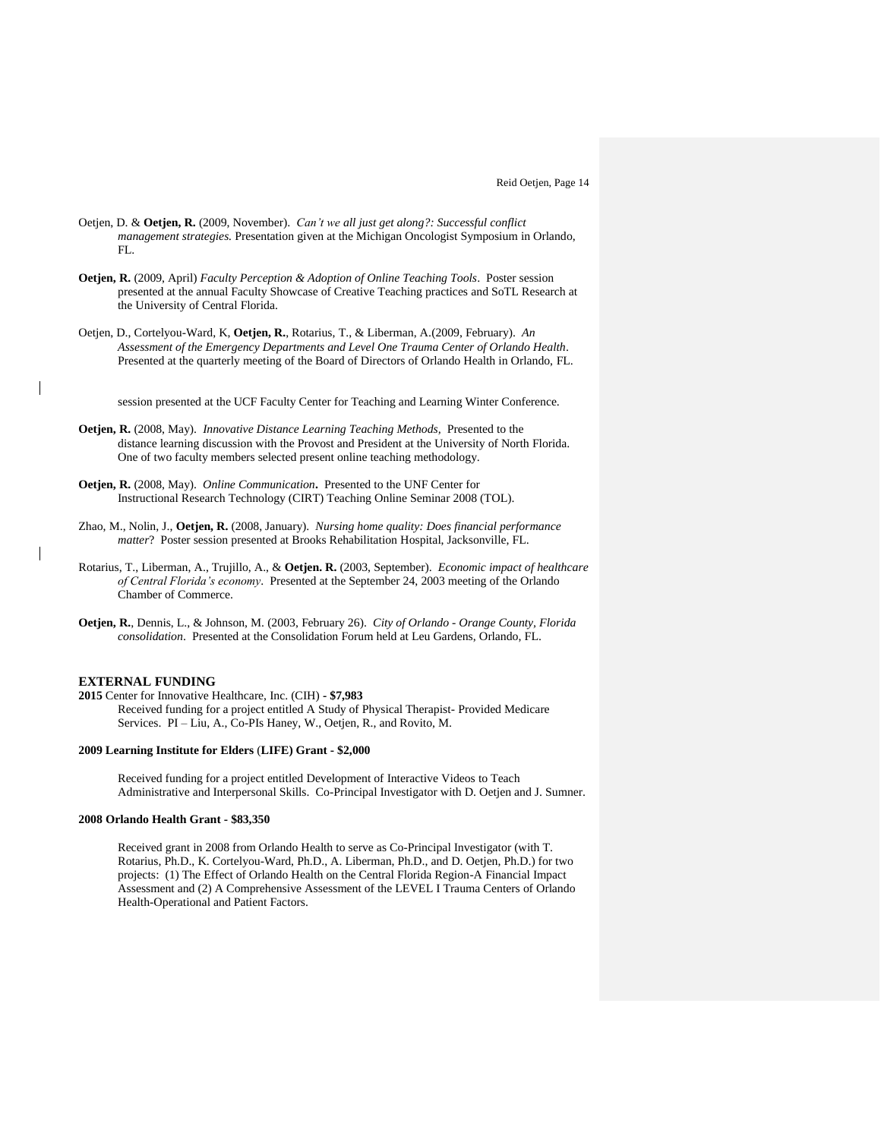- Oetjen, D. & **Oetjen, R.** (2009, November). *Can't we all just get along?: Successful conflict management strategies.* Presentation given at the Michigan Oncologist Symposium in Orlando, FL.
- **Oetjen, R.** (2009, April) *Faculty Perception & Adoption of Online Teaching Tools*. Poster session presented at the annual Faculty Showcase of Creative Teaching practices and SoTL Research at the University of Central Florida.
- Oetjen, D., Cortelyou-Ward, K, **Oetjen, R.**, Rotarius, T., & Liberman, A.(2009, February). *An Assessment of the Emergency Departments and Level One Trauma Center of Orlando Health*. Presented at the quarterly meeting of the Board of Directors of Orlando Health in Orlando, FL.

session presented at the UCF Faculty Center for Teaching and Learning Winter Conference.

- **Oetjen, R.** (2008, May). *Innovative Distance Learning Teaching Methods*, Presented to the distance learning discussion with the Provost and President at the University of North Florida. One of two faculty members selected present online teaching methodology.
- **Oetjen, R.** (2008, May). *Online Communication***.** Presented to the UNF Center for Instructional Research Technology (CIRT) Teaching Online Seminar 2008 (TOL).
- Zhao, M., Nolin, J., **Oetjen, R.** (2008, January). *Nursing home quality: Does financial performance matter*? Poster session presented at Brooks Rehabilitation Hospital, Jacksonville, FL.
- Rotarius, T., Liberman, A., Trujillo, A., & **Oetjen. R.** (2003, September). *Economic impact of healthcare of Central Florida's economy*. Presented at the September 24, 2003 meeting of the Orlando Chamber of Commerce.
- **Oetjen, R.**, Dennis, L., & Johnson, M. (2003, February 26). *City of Orlando - Orange County, Florida consolidation*. Presented at the Consolidation Forum held at Leu Gardens, Orlando, FL.

# **EXTERNAL FUNDING**

 $\overline{\phantom{a}}$ 

**2015** Center for Innovative Healthcare, Inc. (CIH) **- \$7,983** Received funding for a project entitled A Study of Physical Therapist- Provided Medicare Services. PI – Liu, A., Co-PIs Haney, W., Oetjen, R., and Rovito, M.

#### **2009 Learning Institute for Elders** (**LIFE) Grant - \$2,000**

Received funding for a project entitled Development of Interactive Videos to Teach Administrative and Interpersonal Skills. Co-Principal Investigator with D. Oetjen and J. Sumner.

#### **2008 Orlando Health Grant - \$83,350**

Received grant in 2008 from Orlando Health to serve as Co-Principal Investigator (with T. Rotarius, Ph.D., K. Cortelyou-Ward, Ph.D., A. Liberman, Ph.D., and D. Oetjen, Ph.D.) for two projects: (1) The Effect of Orlando Health on the Central Florida Region-A Financial Impact Assessment and (2) A Comprehensive Assessment of the LEVEL I Trauma Centers of Orlando Health-Operational and Patient Factors.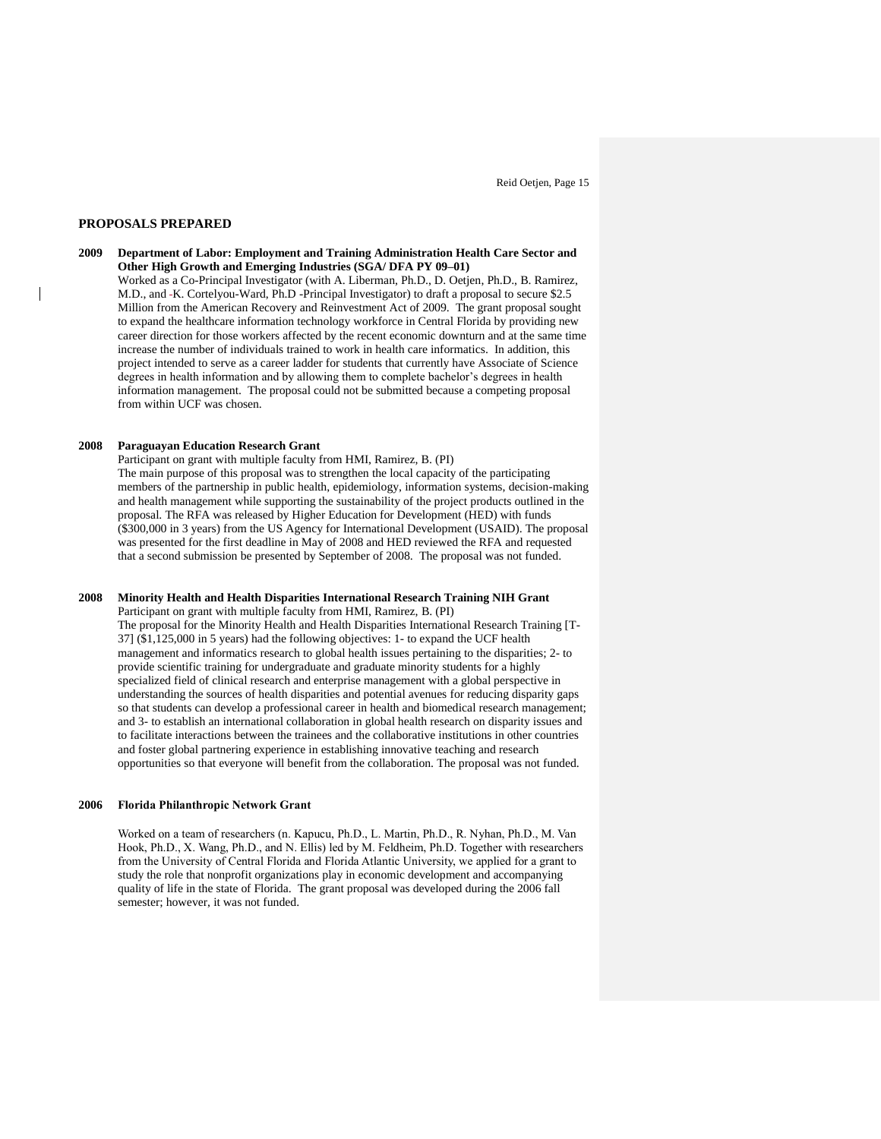#### **PROPOSALS PREPARED**

 $\overline{\phantom{a}}$ 

**2009 Department of Labor: Employment and Training Administration Health Care Sector and Other High Growth and Emerging Industries (SGA/ DFA PY 09–01)** Worked as a Co-Principal Investigator (with A. Liberman, Ph.D., D. Oetjen, Ph.D., B. Ramirez, M.D., and -K. Cortelyou-Ward, Ph.D -Principal Investigator) to draft a proposal to secure \$2.5 Million from the American Recovery and Reinvestment Act of 2009. The grant proposal sought to expand the healthcare information technology workforce in Central Florida by providing new career direction for those workers affected by the recent economic downturn and at the same time increase the number of individuals trained to work in health care informatics. In addition, this project intended to serve as a career ladder for students that currently have Associate of Science degrees in health information and by allowing them to complete bachelor's degrees in health information management. The proposal could not be submitted because a competing proposal from within UCF was chosen.

#### **2008 Paraguayan Education Research Grant**

Participant on grant with multiple faculty from HMI, Ramirez, B. (PI) The main purpose of this proposal was to strengthen the local capacity of the participating members of the partnership in public health, epidemiology, information systems, decision-making and health management while supporting the sustainability of the project products outlined in the proposal. The RFA was released by Higher Education for Development (HED) with funds (\$300,000 in 3 years) from the US Agency for International Development (USAID). The proposal was presented for the first deadline in May of 2008 and HED reviewed the RFA and requested that a second submission be presented by September of 2008. The proposal was not funded.

## **2008 Minority Health and Health Disparities International Research Training NIH Grant**

Participant on grant with multiple faculty from HMI, Ramirez, B. (PI) The proposal for the Minority Health and Health Disparities International Research Training [T-37] (\$1,125,000 in 5 years) had the following objectives: 1- to expand the UCF health management and informatics research to global health issues pertaining to the disparities; 2- to provide scientific training for undergraduate and graduate minority students for a highly specialized field of clinical research and enterprise management with a global perspective in understanding the sources of health disparities and potential avenues for reducing disparity gaps so that students can develop a professional career in health and biomedical research management; and 3- to establish an international collaboration in global health research on disparity issues and to facilitate interactions between the trainees and the collaborative institutions in other countries and foster global partnering experience in establishing innovative teaching and research opportunities so that everyone will benefit from the collaboration. The proposal was not funded.

## **2006 Florida Philanthropic Network Grant**

Worked on a team of researchers (n. Kapucu, Ph.D., L. Martin, Ph.D., R. Nyhan, Ph.D., M. Van Hook, Ph.D., X. Wang, Ph.D., and N. Ellis) led by M. Feldheim, Ph.D. Together with researchers from the University of Central Florida and Florida Atlantic University, we applied for a grant to study the role that nonprofit organizations play in economic development and accompanying quality of life in the state of Florida. The grant proposal was developed during the 2006 fall semester; however, it was not funded.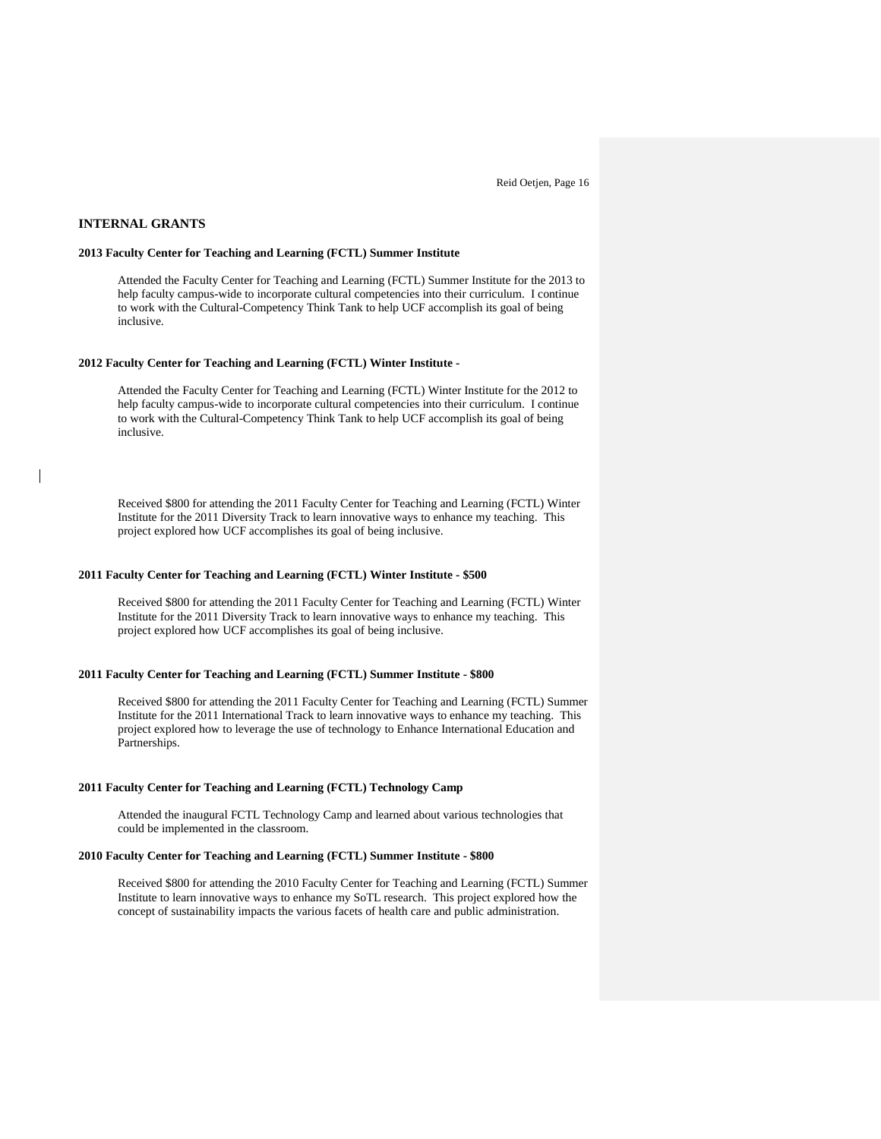## **INTERNAL GRANTS**

## **2013 Faculty Center for Teaching and Learning (FCTL) Summer Institute**

Attended the Faculty Center for Teaching and Learning (FCTL) Summer Institute for the 2013 to help faculty campus-wide to incorporate cultural competencies into their curriculum. I continue to work with the Cultural-Competency Think Tank to help UCF accomplish its goal of being inclusive.

#### **2012 Faculty Center for Teaching and Learning (FCTL) Winter Institute -**

Attended the Faculty Center for Teaching and Learning (FCTL) Winter Institute for the 2012 to help faculty campus-wide to incorporate cultural competencies into their curriculum. I continue to work with the Cultural-Competency Think Tank to help UCF accomplish its goal of being inclusive.

Received \$800 for attending the 2011 Faculty Center for Teaching and Learning (FCTL) Winter Institute for the 2011 Diversity Track to learn innovative ways to enhance my teaching. This project explored how UCF accomplishes its goal of being inclusive.

#### **2011 Faculty Center for Teaching and Learning (FCTL) Winter Institute - \$500**

Received \$800 for attending the 2011 Faculty Center for Teaching and Learning (FCTL) Winter Institute for the 2011 Diversity Track to learn innovative ways to enhance my teaching. This project explored how UCF accomplishes its goal of being inclusive.

#### **2011 Faculty Center for Teaching and Learning (FCTL) Summer Institute - \$800**

Received \$800 for attending the 2011 Faculty Center for Teaching and Learning (FCTL) Summer Institute for the 2011 International Track to learn innovative ways to enhance my teaching. This project explored how to leverage the use of technology to Enhance International Education and Partnerships.

#### **2011 Faculty Center for Teaching and Learning (FCTL) Technology Camp**

Attended the inaugural FCTL Technology Camp and learned about various technologies that could be implemented in the classroom.

#### **2010 Faculty Center for Teaching and Learning (FCTL) Summer Institute - \$800**

Received \$800 for attending the 2010 Faculty Center for Teaching and Learning (FCTL) Summer Institute to learn innovative ways to enhance my SoTL research. This project explored how the concept of sustainability impacts the various facets of health care and public administration.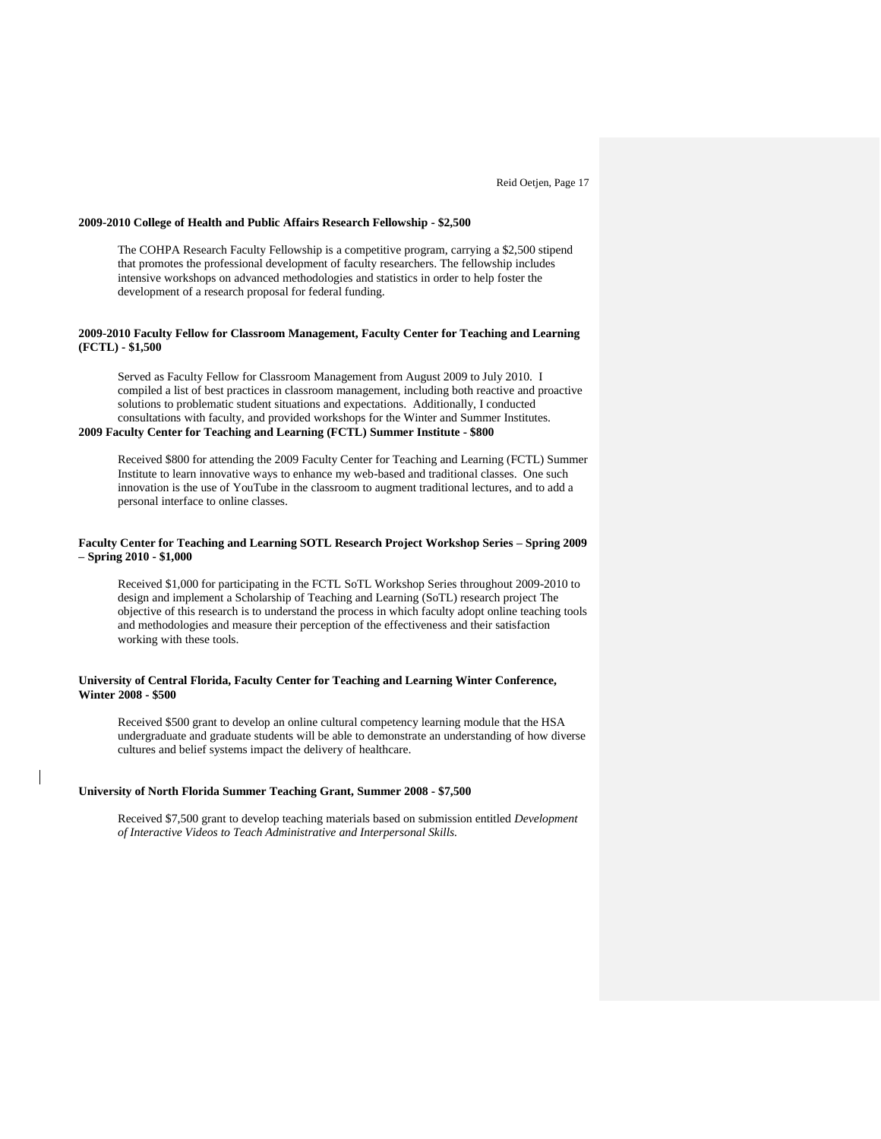#### **2009-2010 College of Health and Public Affairs Research Fellowship - \$2,500**

The COHPA Research Faculty Fellowship is a competitive program, carrying a \$2,500 stipend that promotes the professional development of faculty researchers. The fellowship includes intensive workshops on advanced methodologies and statistics in order to help foster the development of a research proposal for federal funding.

#### **2009-2010 Faculty Fellow for Classroom Management, Faculty Center for Teaching and Learning (FCTL) - \$1,500**

Served as Faculty Fellow for Classroom Management from August 2009 to July 2010. I compiled a list of best practices in classroom management, including both reactive and proactive solutions to problematic student situations and expectations. Additionally, I conducted consultations with faculty, and provided workshops for the Winter and Summer Institutes. **2009 Faculty Center for Teaching and Learning (FCTL) Summer Institute - \$800**

Received \$800 for attending the 2009 Faculty Center for Teaching and Learning (FCTL) Summer Institute to learn innovative ways to enhance my web-based and traditional classes. One such innovation is the use of YouTube in the classroom to augment traditional lectures, and to add a personal interface to online classes.

#### **Faculty Center for Teaching and Learning SOTL Research Project Workshop Series – Spring 2009 – Spring 2010 - \$1,000**

Received \$1,000 for participating in the FCTL SoTL Workshop Series throughout 2009-2010 to design and implement a Scholarship of Teaching and Learning (SoTL) research project The objective of this research is to understand the process in which faculty adopt online teaching tools and methodologies and measure their perception of the effectiveness and their satisfaction working with these tools.

## **University of Central Florida, Faculty Center for Teaching and Learning Winter Conference, Winter 2008 - \$500**

Received \$500 grant to develop an online cultural competency learning module that the HSA undergraduate and graduate students will be able to demonstrate an understanding of how diverse cultures and belief systems impact the delivery of healthcare.

## **University of North Florida Summer Teaching Grant, Summer 2008 - \$7,500**

Received \$7,500 grant to develop teaching materials based on submission entitled *Development of Interactive Videos to Teach Administrative and Interpersonal Skills.*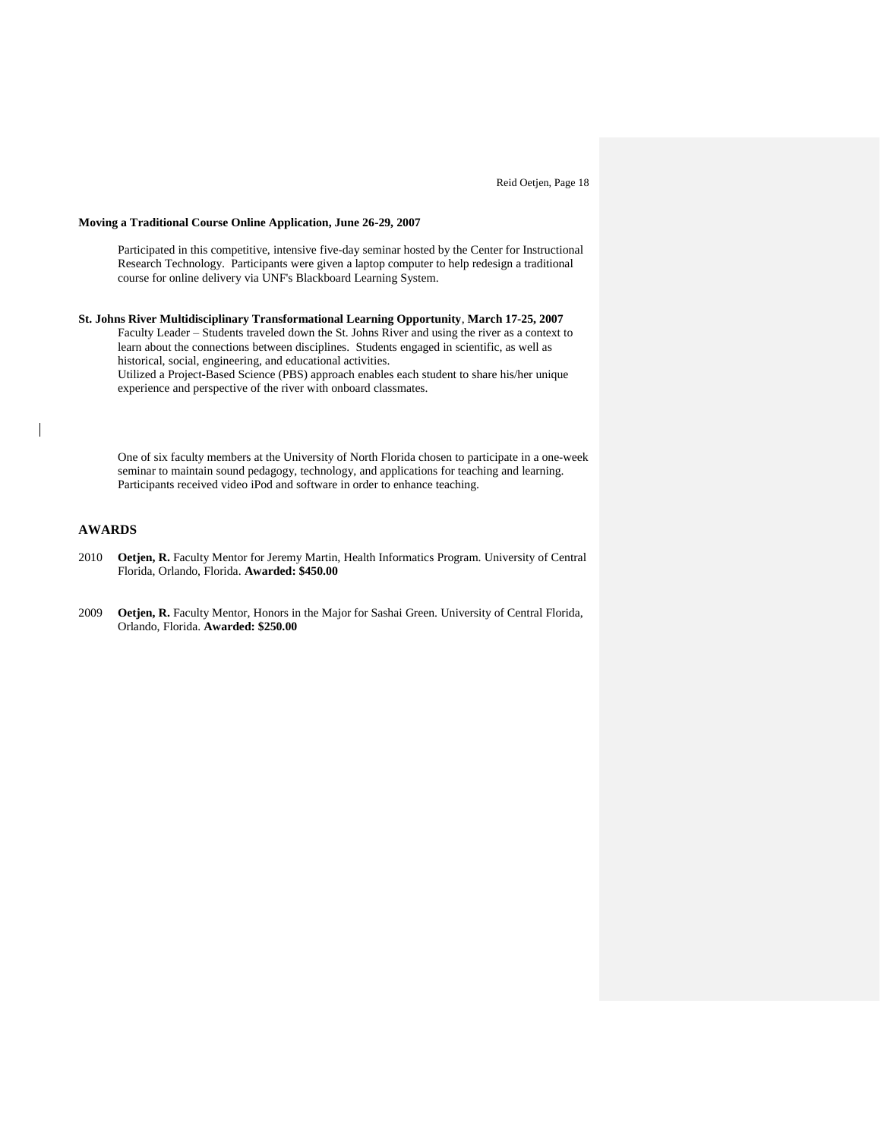## **Moving a Traditional Course Online Application, June 26-29, 2007**

Participated in this competitive, intensive five-day seminar hosted by the Center for Instructional Research Technology. Participants were given a laptop computer to help redesign a traditional course for online delivery via UNF's Blackboard Learning System.

**St. Johns River Multidisciplinary Transformational Learning Opportunity**, **March 17-25, 2007** Faculty Leader – Students traveled down the St. Johns River and using the river as a context to learn about the connections between disciplines. Students engaged in scientific, as well as historical, social, engineering, and educational activities.

Utilized a Project-Based Science (PBS) approach enables each student to share his/her unique experience and perspective of the river with onboard classmates.

One of six faculty members at the University of North Florida chosen to participate in a one-week seminar to maintain sound pedagogy, technology, and applications for teaching and learning. Participants received video iPod and software in order to enhance teaching.

# **AWARDS**

- 2010 **Oetjen, R.** Faculty Mentor for Jeremy Martin, Health Informatics Program. University of Central Florida, Orlando, Florida. **Awarded: \$450.00**
- 2009 **Oetjen, R.** Faculty Mentor, Honors in the Major for Sashai Green. University of Central Florida, Orlando, Florida. **Awarded: \$250.00**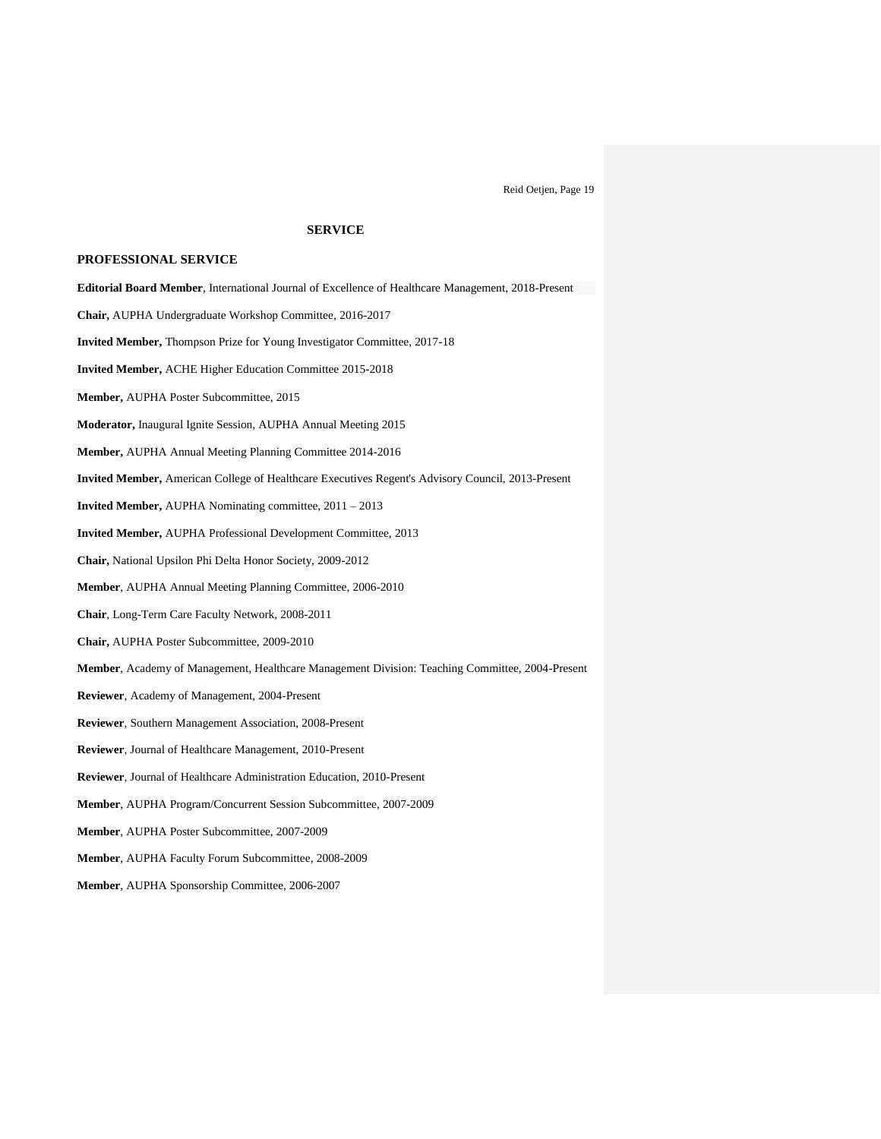# **SERVICE**

## **PROFESSIONAL SERVICE**

- **Editorial Board Member**, International Journal of Excellence of Healthcare Management, 2018-Present
- **Chair,** AUPHA Undergraduate Workshop Committee, 2016-2017
- **Invited Member,** Thompson Prize for Young Investigator Committee, 2017-18
- **Invited Member,** ACHE Higher Education Committee 2015-2018
- **Member,** AUPHA Poster Subcommittee, 2015
- **Moderator,** Inaugural Ignite Session, AUPHA Annual Meeting 2015
- **Member,** AUPHA Annual Meeting Planning Committee 2014-2016
- **Invited Member,** American College of Healthcare Executives Regent's Advisory Council, 2013-Present
- **Invited Member,** AUPHA Nominating committee, 2011 2013
- **Invited Member,** AUPHA Professional Development Committee, 2013
- **Chair,** National Upsilon Phi Delta Honor Society, 2009-2012
- **Member**, AUPHA Annual Meeting Planning Committee, 2006-2010
- **Chair**, Long-Term Care Faculty Network, 2008-2011
- **Chair,** AUPHA Poster Subcommittee, 2009-2010
- **Member**, Academy of Management, Healthcare Management Division: Teaching Committee, 2004-Present
- **Reviewer**, Academy of Management, 2004-Present
- **Reviewer**, Southern Management Association, 2008-Present
- **Reviewer**, Journal of Healthcare Management, 2010-Present
- **Reviewer**, Journal of Healthcare Administration Education, 2010-Present
- **Member**, AUPHA Program/Concurrent Session Subcommittee, 2007-2009
- **Member**, AUPHA Poster Subcommittee, 2007-2009
- **Member**, AUPHA Faculty Forum Subcommittee, 2008-2009
- **Member**, AUPHA Sponsorship Committee, 2006-2007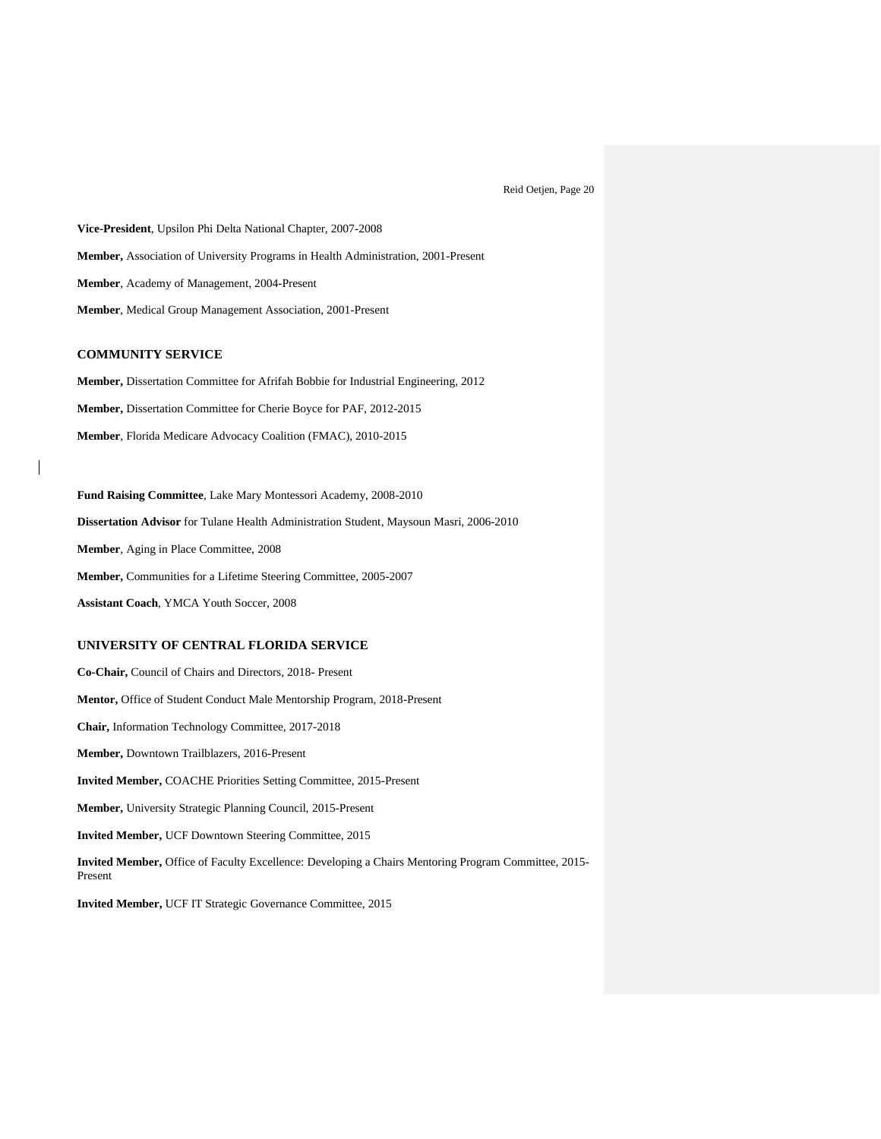**Vice-President**, Upsilon Phi Delta National Chapter, 2007-2008 **Member,** Association of University Programs in Health Administration, 2001-Present **Member**, Academy of Management, 2004-Present **Member**, Medical Group Management Association, 2001-Present

## **COMMUNITY SERVICE**

**Member,** Dissertation Committee for Afrifah Bobbie for Industrial Engineering, 2012 **Member,** Dissertation Committee for Cherie Boyce for PAF, 2012-2015 **Member**, Florida Medicare Advocacy Coalition (FMAC), 2010-2015

**Fund Raising Committee**, Lake Mary Montessori Academy, 2008-2010 **Dissertation Advisor** for Tulane Health Administration Student, Maysoun Masri, 2006-2010 **Member**, Aging in Place Committee, 2008 **Member,** Communities for a Lifetime Steering Committee, 2005-2007 **Assistant Coach**, YMCA Youth Soccer, 2008

#### **UNIVERSITY OF CENTRAL FLORIDA SERVICE**

**Co-Chair,** Council of Chairs and Directors, 2018- Present **Mentor,** Office of Student Conduct Male Mentorship Program, 2018-Present **Chair,** Information Technology Committee, 2017-2018 **Member,** Downtown Trailblazers, 2016-Present **Invited Member,** COACHE Priorities Setting Committee, 2015-Present **Member,** University Strategic Planning Council, 2015-Present **Invited Member,** UCF Downtown Steering Committee, 2015 **Invited Member,** Office of Faculty Excellence: Developing a Chairs Mentoring Program Committee, 2015- Present

**Invited Member,** UCF IT Strategic Governance Committee, 2015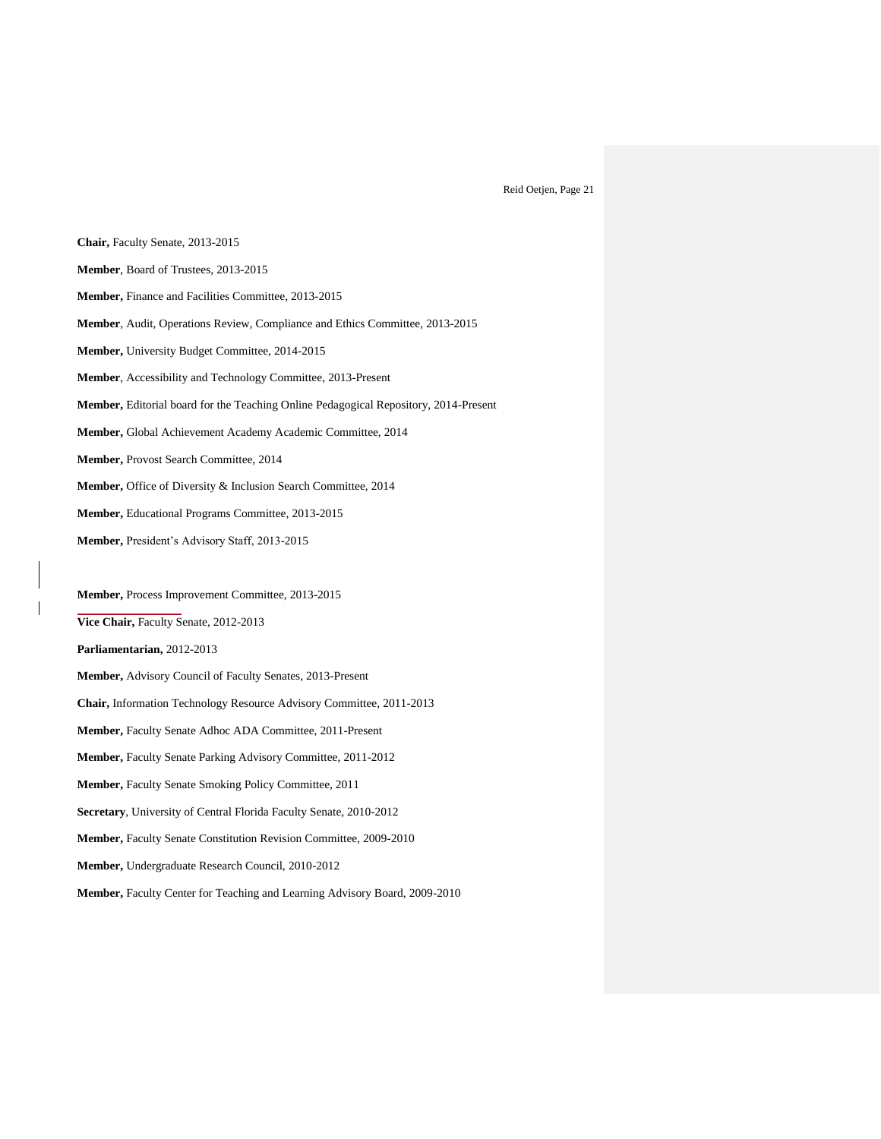**Chair,** Faculty Senate, 2013-2015 **Member**, Board of Trustees, 2013-2015 **Member,** Finance and Facilities Committee, 2013-2015 **Member**, Audit, Operations Review, Compliance and Ethics Committee, 2013-2015 **Member,** University Budget Committee, 2014-2015 **Member**, Accessibility and Technology Committee, 2013-Present **Member,** Editorial board for the Teaching Online Pedagogical Repository, 2014-Present **Member,** Global Achievement Academy Academic Committee, 2014 **Member,** Provost Search Committee, 2014 **Member,** Office of Diversity & Inclusion Search Committee, 2014 **Member,** Educational Programs Committee, 2013-2015 **Member,** President's Advisory Staff, 2013-2015 **Member,** Process Improvement Committee, 2013-2015 **Vice Chair,** Faculty Senate, 2012-2013 **Parliamentarian,** 2012-2013 **Member,** Advisory Council of Faculty Senates, 2013-Present **Chair,** Information Technology Resource Advisory Committee, 2011-2013 **Member,** Faculty Senate Adhoc ADA Committee, 2011-Present **Member,** Faculty Senate Parking Advisory Committee, 2011-2012 **Member,** Faculty Senate Smoking Policy Committee, 2011 **Secretary**, University of Central Florida Faculty Senate, 2010-2012 **Member,** Faculty Senate Constitution Revision Committee, 2009-2010 **Member,** Undergraduate Research Council, 2010-2012 **Member,** Faculty Center for Teaching and Learning Advisory Board, 2009-2010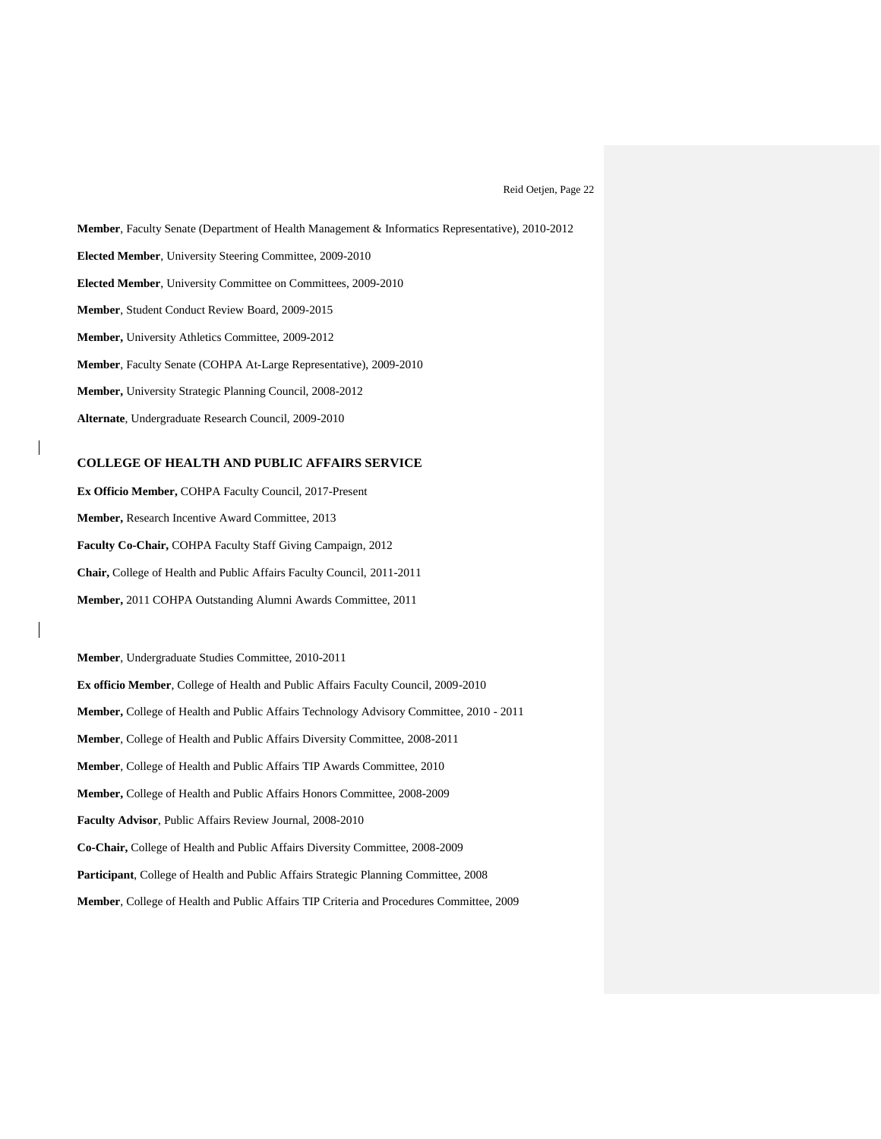**Member**, Faculty Senate (Department of Health Management & Informatics Representative), 2010-2012 **Elected Member**, University Steering Committee, 2009-2010 **Elected Member**, University Committee on Committees, 2009-2010 **Member**, Student Conduct Review Board, 2009-2015 **Member,** University Athletics Committee, 2009-2012 **Member**, Faculty Senate (COHPA At-Large Representative), 2009-2010 **Member,** University Strategic Planning Council, 2008-2012 **Alternate**, Undergraduate Research Council, 2009-2010

#### **COLLEGE OF HEALTH AND PUBLIC AFFAIRS SERVICE**

**Ex Officio Member,** COHPA Faculty Council, 2017-Present **Member,** Research Incentive Award Committee, 2013 **Faculty Co-Chair,** COHPA Faculty Staff Giving Campaign, 2012 **Chair,** College of Health and Public Affairs Faculty Council, 2011-2011 **Member,** 2011 COHPA Outstanding Alumni Awards Committee, 2011

**Member**, Undergraduate Studies Committee, 2010-2011 **Ex officio Member**, College of Health and Public Affairs Faculty Council, 2009-2010 **Member,** College of Health and Public Affairs Technology Advisory Committee, 2010 - 2011 **Member**, College of Health and Public Affairs Diversity Committee, 2008-2011 **Member**, College of Health and Public Affairs TIP Awards Committee, 2010 **Member,** College of Health and Public Affairs Honors Committee, 2008-2009 **Faculty Advisor**, Public Affairs Review Journal, 2008-2010 **Co-Chair,** College of Health and Public Affairs Diversity Committee, 2008-2009 **Participant**, College of Health and Public Affairs Strategic Planning Committee, 2008 **Member**, College of Health and Public Affairs TIP Criteria and Procedures Committee, 2009